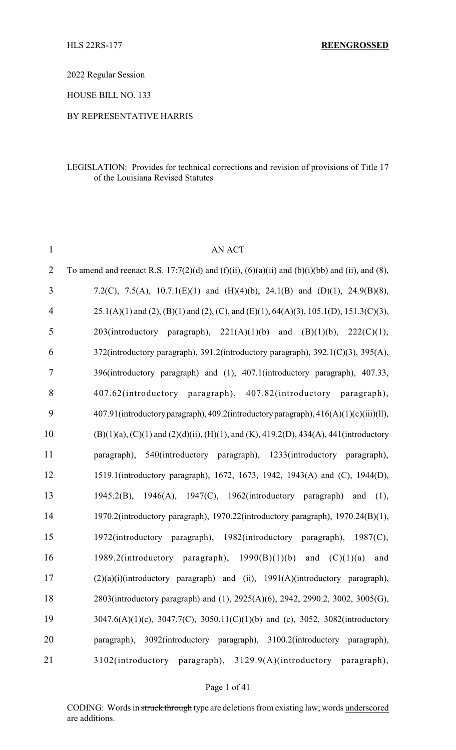2022 Regular Session

HOUSE BILL NO. 133

#### BY REPRESENTATIVE HARRIS

#### LEGISLATION: Provides for technical corrections and revision of provisions of Title 17 of the Louisiana Revised Statutes

| $\mathbf{1}$   | <b>AN ACT</b>                                                                                                  |
|----------------|----------------------------------------------------------------------------------------------------------------|
| $\overline{2}$ | To amend and reenact R.S. 17:7(2)(d) and (f)(ii), (6)(a)(ii) and (b)(i)(bb) and (ii), and (8),                 |
| 3              | 7.2(C), 7.5(A), 10.7.1(E)(1) and (H)(4)(b), 24.1(B) and (D)(1), 24.9(B)(8),                                    |
| 4              | $25.1(A)(1)$ and $(2)$ , $(B)(1)$ and $(2)$ , $(C)$ , and $(E)(1)$ , $64(A)(3)$ , $105.1(D)$ , $151.3(C)(3)$ , |
| 5              | $203(introductor)$ paragraph), $221(A)(1)(b)$ and<br>(B)(1)(b), 222(C)(1),                                     |
| 6              | 372(introductory paragraph), 391.2(introductory paragraph), 392.1(C)(3), 395(A),                               |
| $\tau$         | 396(introductory paragraph) and (1), 407.1(introductory paragraph), 407.33,                                    |
| 8              | 407.62(introductory paragraph), 407.82(introductory paragraph),                                                |
| 9              | 407.91(introductory paragraph), 409.2(introductory paragraph), 416(A)(1)(c)(iii)(ll),                          |
| 10             |                                                                                                                |
| 11             | 540(introductory paragraph), 1233(introductory paragraph),<br>paragraph),                                      |
| 12             | 1519.1(introductory paragraph), 1672, 1673, 1942, 1943(A) and (C), 1944(D),                                    |
| 13             | 1945.2(B), 1946(A), 1947(C), 1962(introductory paragraph)<br>(1),<br>and                                       |
| 14             | 1970.2(introductory paragraph), 1970.22(introductory paragraph), 1970.24(B)(1),                                |
| 15             | 1972(introductory paragraph), 1982(introductory paragraph), 1987(C),                                           |
| 16             | 1989.2(introductory paragraph),<br>1990(B)(1)(b)<br>(C)(1)(a)<br>and<br>and                                    |
| 17             | (2)(a)(i)(introductory paragraph) and (ii), 1991(A)(introductory paragraph),                                   |
| 18             | 2803(introductory paragraph) and (1), 2925(A)(6), 2942, 2990.2, 3002, 3005(G),                                 |
| 19             | 3047.6(A)(1)(c), 3047.7(C), 3050.11(C)(1)(b) and (c), 3052, 3082(introductory                                  |
| 20             | paragraph), 3092(introductory paragraph), 3100.2(introductory paragraph),                                      |
| 21             | 3102(introductory paragraph), 3129.9(A)(introductory paragraph),                                               |

Page 1 of 41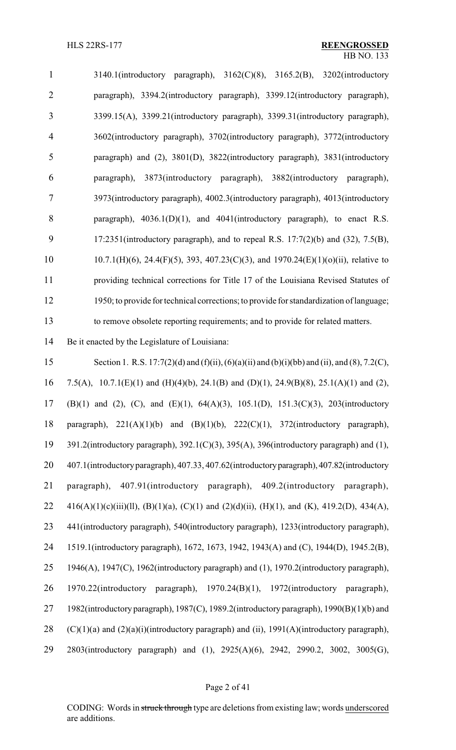| $\mathbf{1}$   | $3140.1$ (introductory paragraph), $3162(C)(8)$ , $3165.2(B)$ , $3202$ (introductory        |
|----------------|---------------------------------------------------------------------------------------------|
| $\overline{2}$ | paragraph), 3394.2(introductory paragraph), 3399.12(introductory paragraph),                |
| 3              | 3399.15(A), 3399.21(introductory paragraph), 3399.31(introductory paragraph),               |
| $\overline{4}$ | 3602(introductory paragraph), 3702(introductory paragraph), 3772(introductory               |
| 5              | paragraph) and (2), 3801(D), 3822(introductory paragraph), 3831(introductory                |
| 6              | paragraph), 3873(introductory paragraph), 3882(introductory paragraph),                     |
| 7              | 3973(introductory paragraph), 4002.3(introductory paragraph), 4013(introductory             |
| 8              | paragraph), $4036.1(D)(1)$ , and $4041$ (introductory paragraph), to enact R.S.             |
| 9              | $17:2351$ (introductory paragraph), and to repeal R.S. $17:7(2)(b)$ and $(32)$ , $7.5(B)$ , |
| 10             | $10.7.1(H)(6)$ , 24.4(F)(5), 393, 407.23(C)(3), and 1970.24(E)(1)(o)(ii), relative to       |
| 11             | providing technical corrections for Title 17 of the Louisiana Revised Statutes of           |
| 12             | 1950; to provide for technical corrections; to provide for standardization of language;     |
| 13             | to remove obsolete reporting requirements; and to provide for related matters.              |

Be it enacted by the Legislature of Louisiana:

 Section 1. R.S. 17:7(2)(d) and (f)(ii), (6)(a)(ii) and (b)(i)(bb) and (ii), and (8), 7.2(C), 7.5(A), 10.7.1(E)(1) and (H)(4)(b), 24.1(B) and (D)(1), 24.9(B)(8), 25.1(A)(1) and (2), (B)(1) and (2), (C), and (E)(1), 64(A)(3), 105.1(D), 151.3(C)(3), 203(introductory paragraph), 221(A)(1)(b) and (B)(1)(b), 222(C)(1), 372(introductory paragraph), 391.2(introductory paragraph), 392.1(C)(3), 395(A), 396(introductory paragraph) and (1), 407.1(introductoryparagraph), 407.33, 407.62(introductoryparagraph), 407.82(introductory paragraph), 407.91(introductory paragraph), 409.2(introductory paragraph), 22 416(A)(1)(c)(iii)(ll), (B)(1)(a), (C)(1) and (2)(d)(ii), (H)(1), and (K), 419.2(D), 434(A), 441(introductory paragraph), 540(introductory paragraph), 1233(introductory paragraph), 1519.1(introductory paragraph), 1672, 1673, 1942, 1943(A) and (C), 1944(D), 1945.2(B), 1946(A), 1947(C), 1962(introductory paragraph) and (1), 1970.2(introductory paragraph), 1970.22(introductory paragraph), 1970.24(B)(1), 1972(introductory paragraph), 1982(introductory paragraph), 1987(C), 1989.2(introductory paragraph), 1990(B)(1)(b) and 28 (C)(1)(a) and (2)(a)(i)(introductory paragraph) and (ii),  $1991(A)$ (introductory paragraph), 2803(introductory paragraph) and (1), 2925(A)(6), 2942, 2990.2, 3002, 3005(G),

#### Page 2 of 41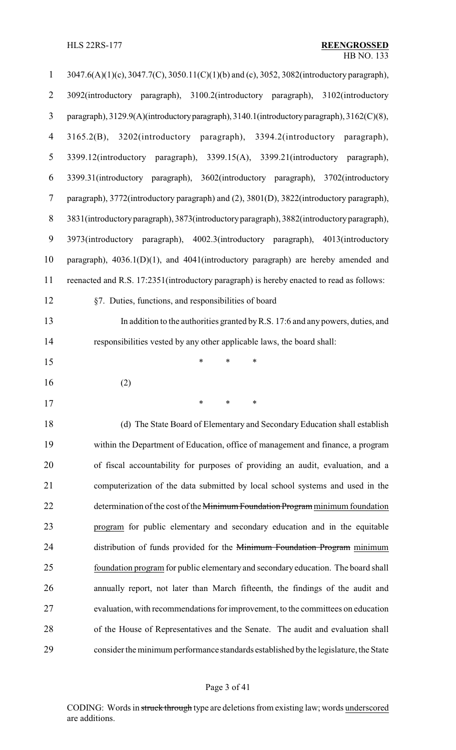| $\mathbf{1}$             | 3047.6(A)(1)(c), 3047.7(C), 3050.11(C)(1)(b) and (c), 3052, 3082(introductory paragraph),  |
|--------------------------|--------------------------------------------------------------------------------------------|
| $\overline{2}$           | 3092(introductory paragraph), 3100.2(introductory paragraph), 3102(introductory            |
| 3                        | paragraph), 3129.9(A)(introductory paragraph), 3140.1(introductory paragraph), 3162(C)(8), |
| $\overline{\mathcal{A}}$ | 3165.2(B), 3202(introductory paragraph), 3394.2(introductory paragraph),                   |
| 5                        | 3399.12(introductory paragraph), 3399.15(A), 3399.21(introductory paragraph),              |
| 6                        | 3399.31(introductory paragraph), 3602(introductory paragraph), 3702(introductory           |
| $\overline{7}$           | paragraph), 3772(introductory paragraph) and (2), 3801(D), 3822(introductory paragraph),   |
| $8\,$                    | 3831(introductory paragraph), 3873(introductory paragraph), 3882(introductory paragraph),  |
| $\boldsymbol{9}$         | 3973(introductory paragraph), 4002.3(introductory paragraph), 4013(introductory            |
| 10                       | paragraph), $4036.1(D)(1)$ , and $4041$ (introductory paragraph) are hereby amended and    |
| 11                       | reenacted and R.S. 17:2351(introductory paragraph) is hereby enacted to read as follows:   |
| 12                       | §7. Duties, functions, and responsibilities of board                                       |
| 13                       | In addition to the authorities granted by R.S. 17:6 and any powers, duties, and            |
| 14                       | responsibilities vested by any other applicable laws, the board shall:                     |
| 15                       | $\ast$<br>$\ast$<br>*                                                                      |
|                          |                                                                                            |
| 16                       | (2)                                                                                        |
| 17                       |                                                                                            |
| 18                       | (d) The State Board of Elementary and Secondary Education shall establish                  |
| 19                       | within the Department of Education, office of management and finance, a program            |
| 20                       | of fiscal accountability for purposes of providing an audit, evaluation, and a             |
| 21                       | computerization of the data submitted by local school systems and used in the              |
| 22                       | determination of the cost of the Minimum Foundation Program minimum foundation             |
| 23                       | program for public elementary and secondary education and in the equitable                 |
| 24                       | distribution of funds provided for the Minimum Foundation Program minimum                  |
| 25                       | foundation program for public elementary and secondary education. The board shall          |
| 26                       | annually report, not later than March fifteenth, the findings of the audit and             |
| 27                       | evaluation, with recommendations for improvement, to the committees on education           |
| 28                       | of the House of Representatives and the Senate. The audit and evaluation shall             |

# Page 3 of 41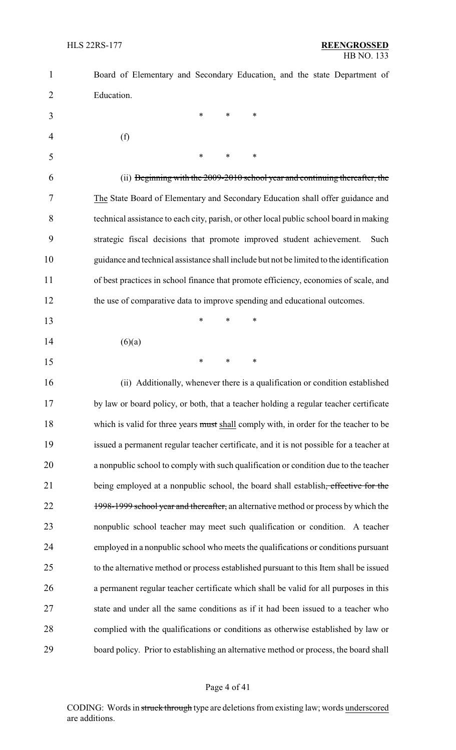| $\mathbf{1}$ | Board of Elementary and Secondary Education, and the state Department of                 |
|--------------|------------------------------------------------------------------------------------------|
| 2            | Education.                                                                               |
| 3            | $\ast$<br>$\ast$<br>∗                                                                    |
| 4            | (f)                                                                                      |
| 5            | *<br>$\ast$<br>*                                                                         |
| 6            | (ii) Beginning with the 2009-2010 school year and continuing thereafter, the             |
| 7            | The State Board of Elementary and Secondary Education shall offer guidance and           |
| 8            | technical assistance to each city, parish, or other local public school board in making  |
| 9            | strategic fiscal decisions that promote improved student achievement.<br>Such            |
| 10           | guidance and technical assistance shall include but not be limited to the identification |
| 11           | of best practices in school finance that promote efficiency, economies of scale, and     |
| 12           | the use of comparative data to improve spending and educational outcomes.                |
| 13           | *<br>$\ast$<br>*                                                                         |
| 14           | (6)(a)                                                                                   |
| 15           | $\ast$<br>$\ast$<br>*                                                                    |
| 16           | (ii) Additionally, whenever there is a qualification or condition established            |
| 17           | by law or board policy, or both, that a teacher holding a regular teacher certificate    |
| 18           | which is valid for three years must shall comply with, in order for the teacher to be    |
| 19           | issued a permanent regular teacher certificate, and it is not possible for a teacher at  |
| 20           | a nonpublic school to comply with such qualification or condition due to the teacher     |
| 21           | being employed at a nonpublic school, the board shall establish, effective for the       |
| 22           | 1998-1999 school year and thereafter, an alternative method or process by which the      |
| 23           | nonpublic school teacher may meet such qualification or condition. A teacher             |
| 24           | employed in a nonpublic school who meets the qualifications or conditions pursuant       |
| 25           | to the alternative method or process established pursuant to this Item shall be issued   |
| 26           | a permanent regular teacher certificate which shall be valid for all purposes in this    |
| 27           | state and under all the same conditions as if it had been issued to a teacher who        |
| 28           | complied with the qualifications or conditions as otherwise established by law or        |
| 29           | board policy. Prior to establishing an alternative method or process, the board shall    |

# Page 4 of 41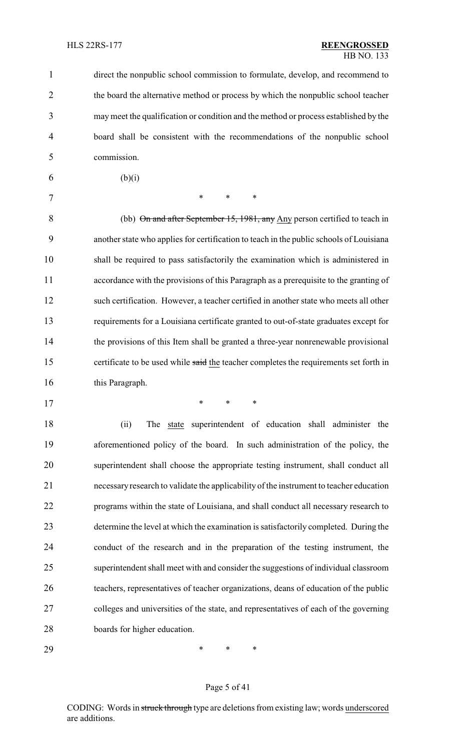direct the nonpublic school commission to formulate, develop, and recommend to the board the alternative method or process by which the nonpublic school teacher may meet the qualification or condition and the method or process established by the board shall be consistent with the recommendations of the nonpublic school commission.

6 (b)(i)

7 \* \* \* \*

\* \* \*

8 (bb) On and after September 15, 1981, any Any person certified to teach in another state who applies for certification to teach in the public schools of Louisiana shall be required to pass satisfactorily the examination which is administered in accordance with the provisions of this Paragraph as a prerequisite to the granting of such certification. However, a teacher certified in another state who meets all other requirements for a Louisiana certificate granted to out-of-state graduates except for the provisions of this Item shall be granted a three-year nonrenewable provisional 15 certificate to be used while said the teacher completes the requirements set forth in 16 this Paragraph.

18 (ii) The state superintendent of education shall administer the aforementioned policy of the board. In such administration of the policy, the superintendent shall choose the appropriate testing instrument, shall conduct all necessaryresearch to validate the applicability of the instrument to teacher education programs within the state of Louisiana, and shall conduct all necessary research to determine the level at which the examination is satisfactorily completed. During the conduct of the research and in the preparation of the testing instrument, the superintendent shall meet with and consider the suggestions of individual classroom teachers, representatives of teacher organizations, deans of education of the public colleges and universities of the state, and representatives of each of the governing boards for higher education.

\* \* \*

#### Page 5 of 41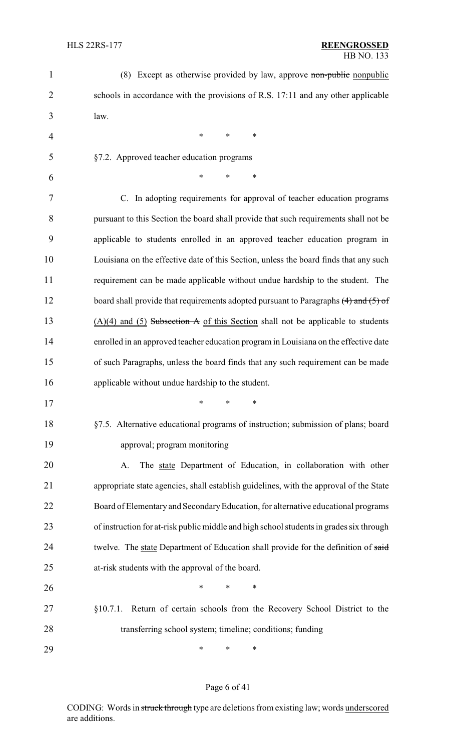| $\mathbf{1}$   | (8) Except as otherwise provided by law, approve non-public nonpublic                   |
|----------------|-----------------------------------------------------------------------------------------|
| $\overline{2}$ | schools in accordance with the provisions of R.S. 17:11 and any other applicable        |
| 3              | law.                                                                                    |
| 4              | $\ast$<br>$\ast$<br>$\ast$                                                              |
| 5              | §7.2. Approved teacher education programs                                               |
| 6              | *<br>*<br>$\ast$                                                                        |
| 7              | C. In adopting requirements for approval of teacher education programs                  |
| 8              | pursuant to this Section the board shall provide that such requirements shall not be    |
| 9              | applicable to students enrolled in an approved teacher education program in             |
| 10             | Louisiana on the effective date of this Section, unless the board finds that any such   |
| 11             | requirement can be made applicable without undue hardship to the student. The           |
| 12             | board shall provide that requirements adopted pursuant to Paragraphs $(4)$ and $(5)$ of |
| 13             | $(A)(4)$ and (5) Subsection A of this Section shall not be applicable to students       |
| 14             | enrolled in an approved teacher education program in Louisiana on the effective date    |
| 15             | of such Paragraphs, unless the board finds that any such requirement can be made        |
| 16             | applicable without undue hardship to the student.                                       |
| 17             | $*$ and $*$<br>$\ast$ . The set of $\ast$<br>∗                                          |
| 18             | §7.5. Alternative educational programs of instruction; submission of plans; board       |
| 19             | approval; program monitoring                                                            |
| 20             | The state Department of Education, in collaboration with other<br>A.                    |
| 21             | appropriate state agencies, shall establish guidelines, with the approval of the State  |
| 22             | Board of Elementary and Secondary Education, for alternative educational programs       |
| 23             | of instruction for at-risk public middle and high school students in grades six through |
| 24             | twelve. The state Department of Education shall provide for the definition of said      |
| 25             | at-risk students with the approval of the board.                                        |
| 26             | $\ast$<br>*<br>∗                                                                        |
| 27             | Return of certain schools from the Recovery School District to the<br>§10.7.1.          |
| 28             | transferring school system; timeline; conditions; funding                               |
| 29             | *<br>*<br>∗                                                                             |

# Page 6 of 41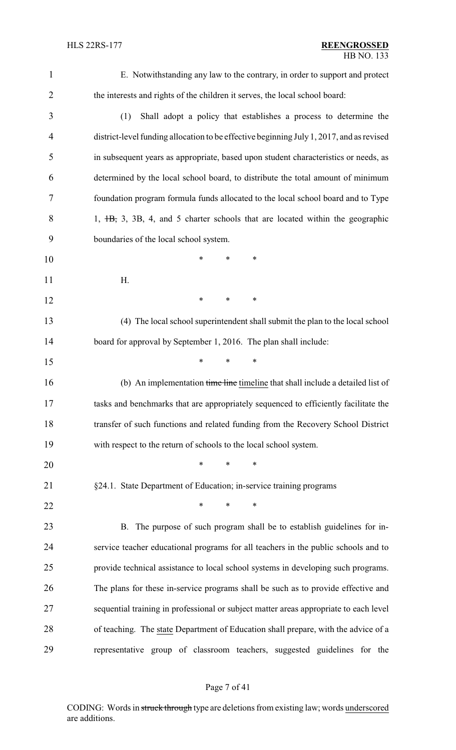E. Notwithstanding any law to the contrary, in order to support and protect the interests and rights of the children it serves, the local school board:

- (1) Shall adopt a policy that establishes a process to determine the district-level funding allocation to be effective beginning July 1, 2017, and as revised in subsequent years as appropriate, based upon student characteristics or needs, as determined by the local school board, to distribute the total amount of minimum foundation program formula funds allocated to the local school board and to Type 8 1, <del>1B,</del> 3, 3B, 4, and 5 charter schools that are located within the geographic boundaries of the local school system.
- \* \* \* H.
	-

**\*** \* \* \*

\* \* \*

 (4) The local school superintendent shall submit the plan to the local school 14 board for approval by September 1, 2016. The plan shall include:

- 16 (b) An implementation time line timeline that shall include a detailed list of tasks and benchmarks that are appropriately sequenced to efficiently facilitate the transfer of such functions and related funding from the Recovery School District with respect to the return of schools to the local school system.
- \* \* \*
- §24.1. State Department of Education; in-service training programs

**\*** \* \* \*

 B. The purpose of such program shall be to establish guidelines for in- service teacher educational programs for all teachers in the public schools and to provide technical assistance to local school systems in developing such programs. The plans for these in-service programs shall be such as to provide effective and sequential training in professional or subject matter areas appropriate to each level of teaching. The state Department of Education shall prepare, with the advice of a representative group of classroom teachers, suggested guidelines for the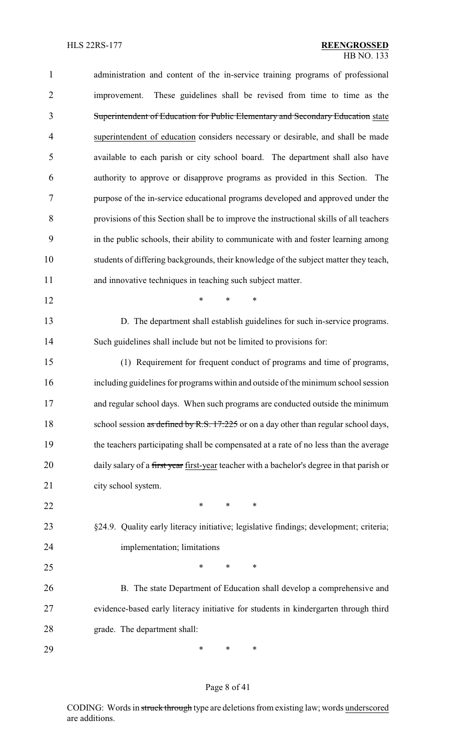| $\mathbf{1}$   | administration and content of the in-service training programs of professional             |
|----------------|--------------------------------------------------------------------------------------------|
| $\overline{2}$ | These guidelines shall be revised from time to time as the<br>improvement.                 |
| 3              | Superintendent of Education for Public Elementary and Secondary Education state            |
| $\overline{4}$ | superintendent of education considers necessary or desirable, and shall be made            |
| 5              | available to each parish or city school board. The department shall also have              |
| 6              | authority to approve or disapprove programs as provided in this Section. The               |
| 7              | purpose of the in-service educational programs developed and approved under the            |
| 8              | provisions of this Section shall be to improve the instructional skills of all teachers    |
| 9              | in the public schools, their ability to communicate with and foster learning among         |
| 10             | students of differing backgrounds, their knowledge of the subject matter they teach,       |
| 11             | and innovative techniques in teaching such subject matter.                                 |
| 12             | *<br>*<br>*                                                                                |
| 13             | D. The department shall establish guidelines for such in-service programs.                 |
| 14             | Such guidelines shall include but not be limited to provisions for:                        |
| 15             | (1) Requirement for frequent conduct of programs and time of programs,                     |
| 16             | including guidelines for programs within and outside of the minimum school session         |
| 17             | and regular school days. When such programs are conducted outside the minimum              |
| 18             | school session as defined by R.S. 17:225 or on a day other than regular school days,       |
| 19             | the teachers participating shall be compensated at a rate of no less than the average      |
| 20             | daily salary of a first year first-year teacher with a bachelor's degree in that parish or |
| 21             | city school system.                                                                        |
| 22             | $\ast$<br>$\ast$<br>$\ast$                                                                 |
| 23             | §24.9. Quality early literacy initiative; legislative findings; development; criteria;     |
| 24             | implementation; limitations                                                                |
| 25             | $\ast$<br>*<br>$\ast$                                                                      |
| 26             | B. The state Department of Education shall develop a comprehensive and                     |
| 27             | evidence-based early literacy initiative for students in kindergarten through third        |
| 28             | grade. The department shall:                                                               |
| 29             | ∗<br>∗<br>∗                                                                                |

# Page 8 of 41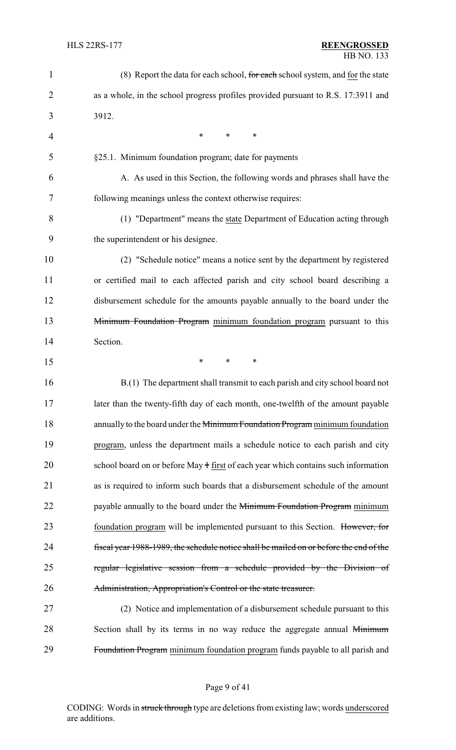| $\mathbf{1}$   | (8) Report the data for each school, for each school system, and for the state         |
|----------------|----------------------------------------------------------------------------------------|
| $\overline{2}$ | as a whole, in the school progress profiles provided pursuant to R.S. 17:3911 and      |
| 3              | 3912.                                                                                  |
| 4              | *<br>*<br>*                                                                            |
| 5              | §25.1. Minimum foundation program; date for payments                                   |
| 6              | A. As used in this Section, the following words and phrases shall have the             |
| 7              | following meanings unless the context otherwise requires:                              |
| 8              | (1) "Department" means the state Department of Education acting through                |
| 9              | the superintendent or his designee.                                                    |
| 10             | (2) "Schedule notice" means a notice sent by the department by registered              |
| 11             | or certified mail to each affected parish and city school board describing a           |
| 12             | disbursement schedule for the amounts payable annually to the board under the          |
| 13             | Minimum Foundation Program minimum foundation program pursuant to this                 |
| 14             | Section.                                                                               |
| 15             | ∗<br>∗<br>∗                                                                            |
| 16             | B.(1) The department shall transmit to each parish and city school board not           |
| 17             | later than the twenty-fifth day of each month, one-twelfth of the amount payable       |
| 18             | annually to the board under the Minimum Foundation Program minimum foundation          |
| 19             | program, unless the department mails a schedule notice to each parish and city         |
| 20             | school board on or before May + first of each year which contains such information     |
| 21             | as is required to inform such boards that a disbursement schedule of the amount        |
| 22             | payable annually to the board under the Minimum Foundation Program minimum             |
| 23             | foundation program will be implemented pursuant to this Section. However, for          |
| 24             | fiscal year 1988-1989, the schedule notice shall be mailed on or before the end of the |
| 25             | regular legislative session from a schedule provided by the Division of                |
| 26             | Administration, Appropriation's Control or the state treasurer.                        |
| 27             | (2) Notice and implementation of a disbursement schedule pursuant to this              |
| 28             | Section shall by its terms in no way reduce the aggregate annual Minimum               |
| 29             | Foundation Program minimum foundation program funds payable to all parish and          |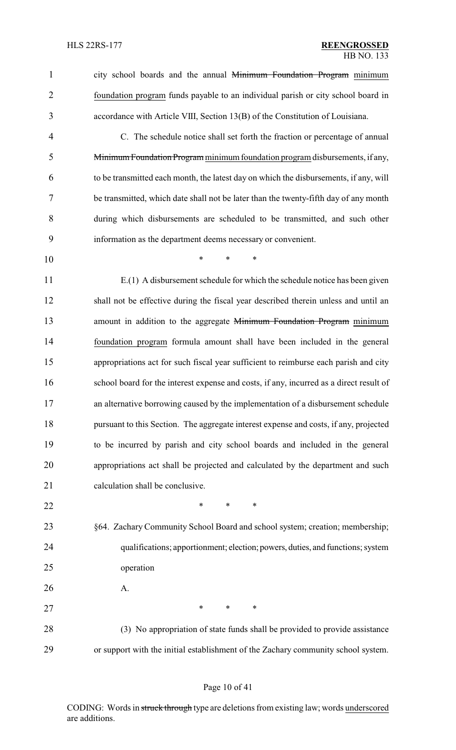1 city school boards and the annual Minimum Foundation Program minimum foundation program funds payable to an individual parish or city school board in accordance with Article VIII, Section 13(B) of the Constitution of Louisiana.

- C. The schedule notice shall set forth the fraction or percentage of annual Minimum Foundation Program minimumfoundation program disbursements, if any, to be transmitted each month, the latest day on which the disbursements, if any, will be transmitted, which date shall not be later than the twenty-fifth day of any month during which disbursements are scheduled to be transmitted, and such other information as the department deems necessary or convenient.
- \* \* \*

 E.(1) A disbursement schedule for which the schedule notice has been given shall not be effective during the fiscal year described therein unless and until an 13 amount in addition to the aggregate Minimum Foundation Program minimum foundation program formula amount shall have been included in the general appropriations act for such fiscal year sufficient to reimburse each parish and city school board for the interest expense and costs, if any, incurred as a direct result of an alternative borrowing caused by the implementation of a disbursement schedule pursuant to this Section. The aggregate interest expense and costs, if any, projected to be incurred by parish and city school boards and included in the general appropriations act shall be projected and calculated by the department and such 21 calculation shall be conclusive.

- **\*** \* \* \*
- §64. Zachary Community School Board and school system; creation; membership; qualifications; apportionment; election; powers, duties, and functions; system operation
- A.

27 \* \* \* \*

28 (3) No appropriation of state funds shall be provided to provide assistance or support with the initial establishment of the Zachary community school system.

#### Page 10 of 41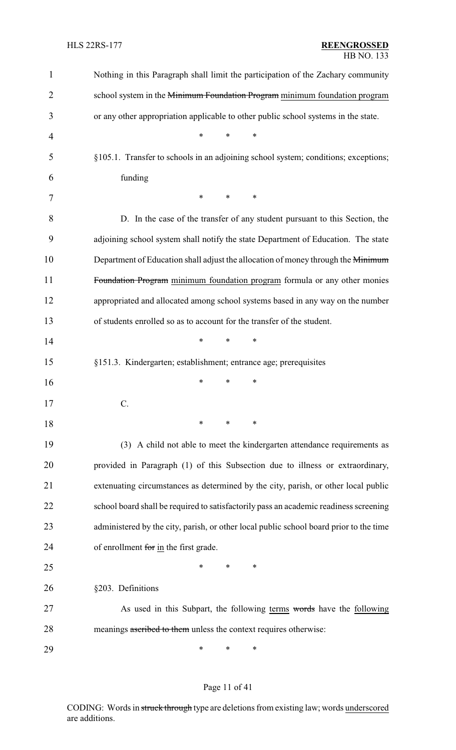| 1              | Nothing in this Paragraph shall limit the participation of the Zachary community       |
|----------------|----------------------------------------------------------------------------------------|
| $\overline{2}$ | school system in the Minimum Foundation Program minimum foundation program             |
| 3              | or any other appropriation applicable to other public school systems in the state.     |
| 4              | $\ast$<br>$\ast$<br>∗                                                                  |
| 5              | §105.1. Transfer to schools in an adjoining school system; conditions; exceptions;     |
| 6              | funding                                                                                |
| 7              | $\ast$<br>$\ast$<br>∗                                                                  |
| 8              | D. In the case of the transfer of any student pursuant to this Section, the            |
| 9              | adjoining school system shall notify the state Department of Education. The state      |
| 10             | Department of Education shall adjust the allocation of money through the Minimum       |
| 11             | Foundation Program minimum foundation program formula or any other monies              |
| 12             | appropriated and allocated among school systems based in any way on the number         |
| 13             | of students enrolled so as to account for the transfer of the student.                 |
| 14             | $\ast$<br>∗<br>∗                                                                       |
| 15             | §151.3. Kindergarten; establishment; entrance age; prerequisites                       |
| 16             | *<br>∗<br>∗                                                                            |
| 17             |                                                                                        |
| 18             | ∗<br>∗<br>∗                                                                            |
| 19             | (3) A child not able to meet the kindergarten attendance requirements as               |
| 20             | provided in Paragraph (1) of this Subsection due to illness or extraordinary,          |
| 21             | extenuating circumstances as determined by the city, parish, or other local public     |
| 22             | school board shall be required to satisfactorily pass an academic readiness screening  |
| 23             | administered by the city, parish, or other local public school board prior to the time |
| 24             | of enrollment for in the first grade.                                                  |
| 25             | *<br>∗<br>*                                                                            |
| 26             | §203. Definitions                                                                      |
| 27             | As used in this Subpart, the following terms words have the following                  |
| 28             | meanings ascribed to them unless the context requires otherwise:                       |
| 29             | ∗<br>∗<br>∗                                                                            |

Page 11 of 41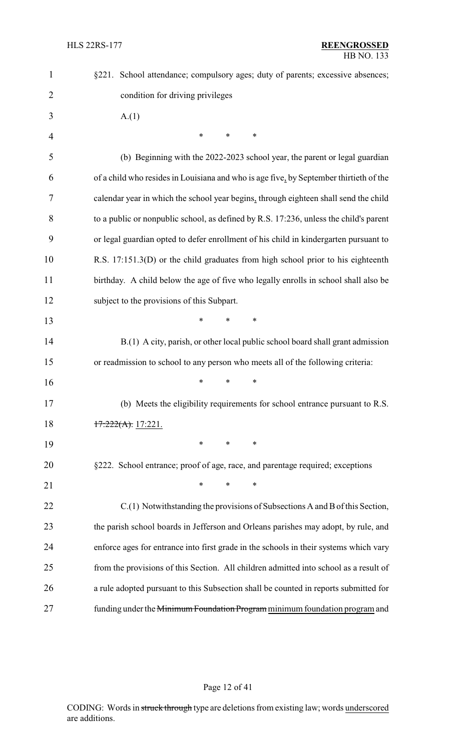| $\mathbf{1}$   | §221. School attendance; compulsory ages; duty of parents; excessive absences;         |
|----------------|----------------------------------------------------------------------------------------|
| $\overline{2}$ | condition for driving privileges                                                       |
| 3              | A(1)                                                                                   |
| $\overline{4}$ | $\ast$<br>*<br>∗                                                                       |
| 5              | (b) Beginning with the 2022-2023 school year, the parent or legal guardian             |
| 6              | of a child who resides in Louisiana and who is age five, by September thirtieth of the |
| 7              | calendar year in which the school year begins, through eighteen shall send the child   |
| 8              | to a public or nonpublic school, as defined by R.S. 17:236, unless the child's parent  |
| 9              | or legal guardian opted to defer enrollment of his child in kindergarten pursuant to   |
| 10             | R.S. 17:151.3(D) or the child graduates from high school prior to his eighteenth       |
| 11             | birthday. A child below the age of five who legally enrolls in school shall also be    |
| 12             | subject to the provisions of this Subpart.                                             |
| 13             | $\ast$<br>$\ast$<br>$\ast$                                                             |
| 14             | B.(1) A city, parish, or other local public school board shall grant admission         |
| 15             | or readmission to school to any person who meets all of the following criteria:        |
| 16             | $\ast$<br>∗<br>∗                                                                       |
| 17             | (b) Meets the eligibility requirements for school entrance pursuant to R.S.            |
| 18             | $17:222(A)$ , 17:221.                                                                  |
| 19             | $\ast$<br>*<br>∗                                                                       |
| 20             | §222. School entrance; proof of age, race, and parentage required; exceptions          |
| 21             | $\ast$<br>$\ast$<br>$\ast$                                                             |
| 22             | C.(1) Notwithstanding the provisions of Subsections A and B of this Section,           |
| 23             | the parish school boards in Jefferson and Orleans parishes may adopt, by rule, and     |
| 24             | enforce ages for entrance into first grade in the schools in their systems which vary  |
| 25             | from the provisions of this Section. All children admitted into school as a result of  |
| 26             | a rule adopted pursuant to this Subsection shall be counted in reports submitted for   |
| 27             | funding under the Minimum Foundation Program minimum foundation program and            |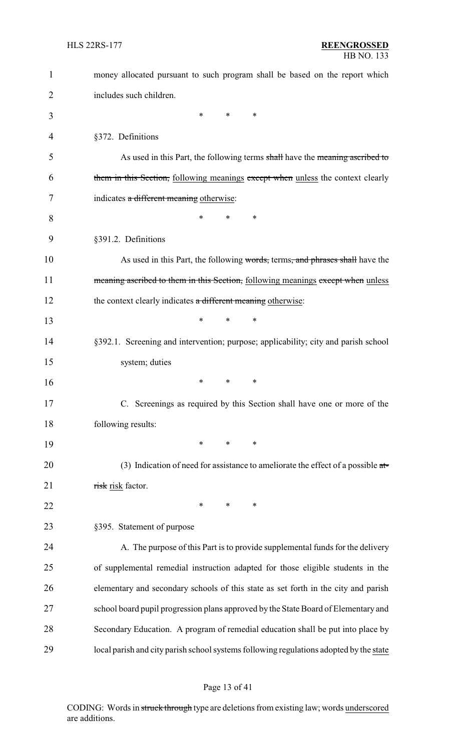| $\mathbf{1}$   | money allocated pursuant to such program shall be based on the report which            |
|----------------|----------------------------------------------------------------------------------------|
| $\overline{2}$ | includes such children.                                                                |
| 3              | $\ast$<br>∗<br>∗                                                                       |
| 4              | §372. Definitions                                                                      |
| 5              | As used in this Part, the following terms shall have the meaning ascribed to           |
| 6              | them in this Section, following meanings except when unless the context clearly        |
| 7              | indicates a different meaning otherwise:                                               |
| 8              | *<br>*<br>∗                                                                            |
| 9              | §391.2. Definitions                                                                    |
| 10             | As used in this Part, the following words, terms, and phrases shall have the           |
| 11             | meaning ascribed to them in this Section, following meanings except when unless        |
| 12             | the context clearly indicates a different meaning otherwise:                           |
| 13             | *<br>∗<br>*                                                                            |
| 14             | §392.1. Screening and intervention; purpose; applicability; city and parish school     |
| 15             | system; duties                                                                         |
| 16             | ∗<br>∗<br>*                                                                            |
| 17             | C. Screenings as required by this Section shall have one or more of the                |
| 18             | following results:                                                                     |
| 19             | $\ast$<br>$\ast$<br>*                                                                  |
| 20             | (3) Indication of need for assistance to ameliorate the effect of a possible $a t =$   |
| 21             | risk risk factor.                                                                      |
| 22             | *<br>$\ast$<br>∗                                                                       |
| 23             | §395. Statement of purpose                                                             |
| 24             | A. The purpose of this Part is to provide supplemental funds for the delivery          |
| 25             | of supplemental remedial instruction adapted for those eligible students in the        |
| 26             | elementary and secondary schools of this state as set forth in the city and parish     |
| 27             | school board pupil progression plans approved by the State Board of Elementary and     |
| 28             | Secondary Education. A program of remedial education shall be put into place by        |
| 29             | local parish and city parish school systems following regulations adopted by the state |

# Page 13 of 41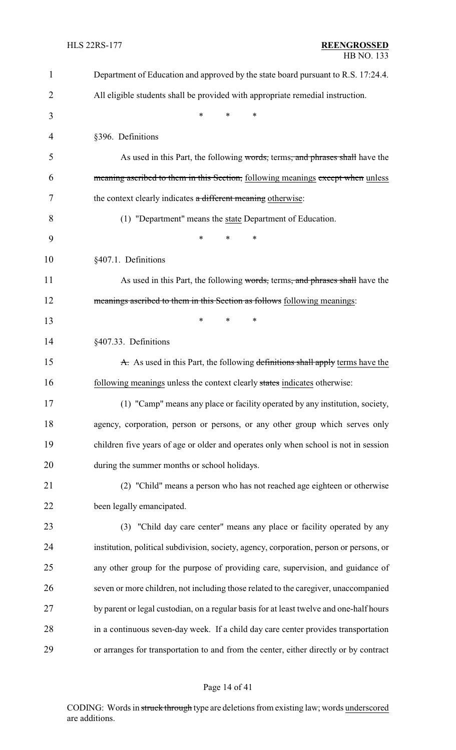| $\mathbf{1}$ | Department of Education and approved by the state board pursuant to R.S. 17:24.4.       |
|--------------|-----------------------------------------------------------------------------------------|
| 2            | All eligible students shall be provided with appropriate remedial instruction.          |
| 3            | *<br>*<br>*                                                                             |
| 4            | §396. Definitions                                                                       |
| 5            | As used in this Part, the following words, terms, and phrases shall have the            |
| 6            | meaning ascribed to them in this Section, following meanings except when unless         |
| 7            | the context clearly indicates a different meaning otherwise:                            |
| 8            | (1) "Department" means the state Department of Education.                               |
| 9            | *<br>*<br>*                                                                             |
| 10           | §407.1. Definitions                                                                     |
| 11           | As used in this Part, the following words, terms, and phrases shall have the            |
| 12           | meanings ascribed to them in this Section as follows following meanings:                |
| 13           | *<br>*<br>*                                                                             |
| 14           | §407.33. Definitions                                                                    |
| 15           | A. As used in this Part, the following definitions shall apply terms have the           |
| 16           | following meanings unless the context clearly states indicates otherwise:               |
| 17           | (1) "Camp" means any place or facility operated by any institution, society,            |
| 18           | agency, corporation, person or persons, or any other group which serves only            |
| 19           | children five years of age or older and operates only when school is not in session     |
| 20           | during the summer months or school holidays.                                            |
| 21           | (2) "Child" means a person who has not reached age eighteen or otherwise                |
| 22           | been legally emancipated.                                                               |
| 23           | (3) "Child day care center" means any place or facility operated by any                 |
| 24           | institution, political subdivision, society, agency, corporation, person or persons, or |
| 25           | any other group for the purpose of providing care, supervision, and guidance of         |
| 26           | seven or more children, not including those related to the caregiver, unaccompanied     |
| 27           | by parent or legal custodian, on a regular basis for at least twelve and one-half hours |
| 28           | in a continuous seven-day week. If a child day care center provides transportation      |
| 29           | or arranges for transportation to and from the center, either directly or by contract   |

# Page 14 of 41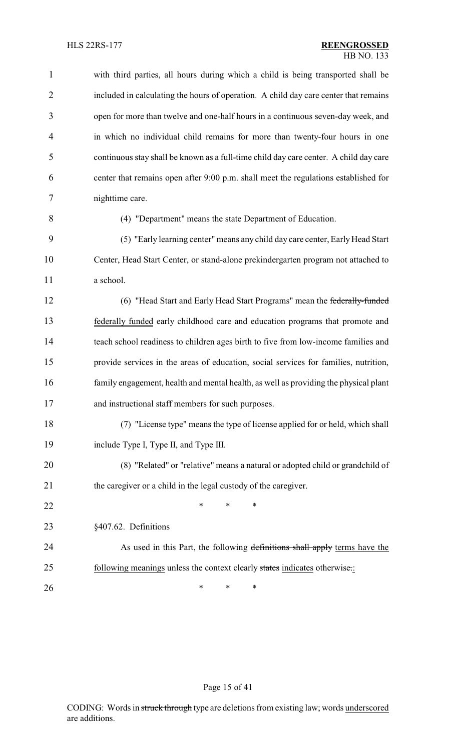| $\mathbf{1}$   | with third parties, all hours during which a child is being transported shall be      |
|----------------|---------------------------------------------------------------------------------------|
| $\overline{2}$ | included in calculating the hours of operation. A child day care center that remains  |
| 3              | open for more than twelve and one-half hours in a continuous seven-day week, and      |
| $\overline{4}$ | in which no individual child remains for more than twenty-four hours in one           |
| 5              | continuous stay shall be known as a full-time child day care center. A child day care |
| 6              | center that remains open after 9:00 p.m. shall meet the regulations established for   |
| 7              | nighttime care.                                                                       |
| 8              | (4) "Department" means the state Department of Education.                             |
| 9              | (5) "Early learning center" means any child day care center, Early Head Start         |
| 10             | Center, Head Start Center, or stand-alone prekindergarten program not attached to     |
| 11             | a school.                                                                             |
| 12             | (6) "Head Start and Early Head Start Programs" mean the federally-funded              |
| 13             | federally funded early childhood care and education programs that promote and         |
| 14             | teach school readiness to children ages birth to five from low-income families and    |
| 15             | provide services in the areas of education, social services for families, nutrition,  |
| 16             | family engagement, health and mental health, as well as providing the physical plant  |
| 17             | and instructional staff members for such purposes.                                    |
| 18             | (7) "License type" means the type of license applied for or held, which shall         |
| 19             | include Type I, Type II, and Type III.                                                |
| 20             | (8) "Related" or "relative" means a natural or adopted child or grandchild of         |
| 21             | the caregiver or a child in the legal custody of the caregiver.                       |
| 22             | ∗<br>∗<br>∗                                                                           |
| 23             | §407.62. Definitions                                                                  |
| 24             | As used in this Part, the following definitions shall apply terms have the            |
| 25             | following meanings unless the context clearly states indicates otherwise.:            |
| 26             | ∗<br>∗<br>∗                                                                           |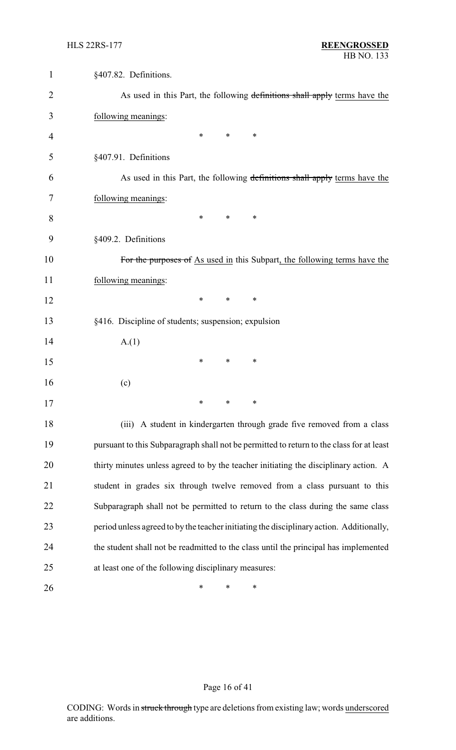| $\mathbf 1$ | §407.82. Definitions.                                                                    |
|-------------|------------------------------------------------------------------------------------------|
| 2           | As used in this Part, the following definitions shall apply terms have the               |
| 3           | following meanings:                                                                      |
| 4           | *<br>∗<br>∗                                                                              |
| 5           | §407.91. Definitions                                                                     |
| 6           | As used in this Part, the following definitions shall apply terms have the               |
| 7           | following meanings:                                                                      |
| 8           | ∗<br>∗<br>∗                                                                              |
| 9           | §409.2. Definitions                                                                      |
| 10          | For the purposes of As used in this Subpart, the following terms have the                |
| 11          | following meanings:                                                                      |
| 12          | ∗<br>$\ast$<br>∗                                                                         |
| 13          | §416. Discipline of students; suspension; expulsion                                      |
| 14          | A.(1)                                                                                    |
| 15          | ∗<br>∗<br>∗                                                                              |
| 16          | (c)                                                                                      |
| 17          | ∗<br>∗<br>∗                                                                              |
| 18          | (iii) A student in kindergarten through grade five removed from a class                  |
| 19          | pursuant to this Subparagraph shall not be permitted to return to the class for at least |
| 20          | thirty minutes unless agreed to by the teacher initiating the disciplinary action. A     |
| 21          | student in grades six through twelve removed from a class pursuant to this               |
| 22          | Subparagraph shall not be permitted to return to the class during the same class         |
| 23          | period unless agreed to by the teacher initiating the disciplinary action. Additionally, |
| 24          | the student shall not be readmitted to the class until the principal has implemented     |
| 25          | at least one of the following disciplinary measures:                                     |
| 26          | ∗<br>∗<br>∗                                                                              |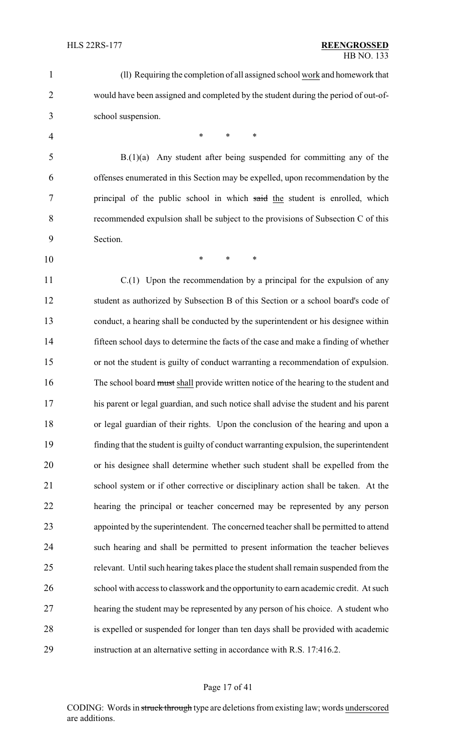| $\mathbf{1}$   | (ll) Requiring the completion of all assigned school work and homework that            |
|----------------|----------------------------------------------------------------------------------------|
| $\overline{2}$ | would have been assigned and completed by the student during the period of out-of-     |
| 3              | school suspension.                                                                     |
| $\overline{4}$ | $\ast$<br>$\ast$<br>*                                                                  |
| 5              | $B(1)(a)$ Any student after being suspended for committing any of the                  |
| 6              | offenses enumerated in this Section may be expelled, upon recommendation by the        |
| 7              | principal of the public school in which said the student is enrolled, which            |
| 8              | recommended expulsion shall be subject to the provisions of Subsection C of this       |
| 9              | Section.                                                                               |
| 10             | *<br>$\ast$<br>$\ast$                                                                  |
| 11             | $C(1)$ Upon the recommendation by a principal for the expulsion of any                 |
| 12             | student as authorized by Subsection B of this Section or a school board's code of      |
| 13             | conduct, a hearing shall be conducted by the superintendent or his designee within     |
| 14             | fifteen school days to determine the facts of the case and make a finding of whether   |
| 15             | or not the student is guilty of conduct warranting a recommendation of expulsion.      |
| 16             | The school board must shall provide written notice of the hearing to the student and   |
| 17             | his parent or legal guardian, and such notice shall advise the student and his parent  |
| 18             | or legal guardian of their rights. Upon the conclusion of the hearing and upon a       |
| 19             | finding that the student is guilty of conduct warranting expulsion, the superintendent |
| 20             | or his designee shall determine whether such student shall be expelled from the        |
| 21             | school system or if other corrective or disciplinary action shall be taken. At the     |
| 22             | hearing the principal or teacher concerned may be represented by any person            |
| 23             | appointed by the superintendent. The concerned teacher shall be permitted to attend    |
| 24             | such hearing and shall be permitted to present information the teacher believes        |
| 25             | relevant. Until such hearing takes place the student shall remain suspended from the   |
| 26             | school with access to classwork and the opportunity to earn academic credit. At such   |
| 27             | hearing the student may be represented by any person of his choice. A student who      |
| 28             | is expelled or suspended for longer than ten days shall be provided with academic      |
| 29             | instruction at an alternative setting in accordance with R.S. 17:416.2.                |
|                |                                                                                        |

#### Page 17 of 41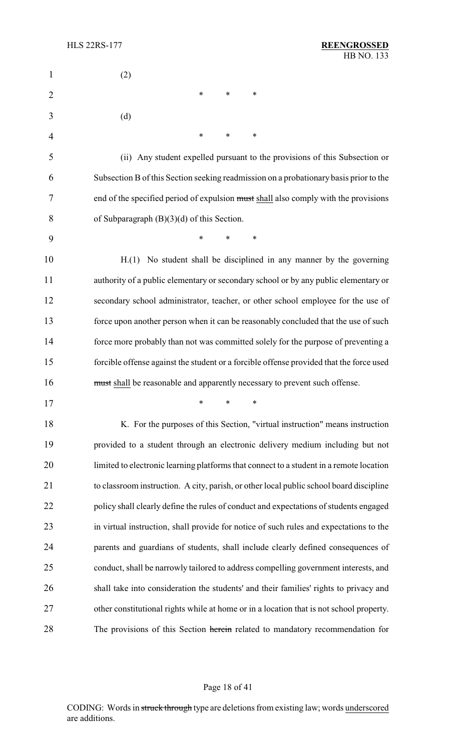| $\mathbf{1}$   | (2)                                                                                     |
|----------------|-----------------------------------------------------------------------------------------|
| $\overline{2}$ | $\ast$<br>$\ast$<br>*                                                                   |
| 3              | (d)                                                                                     |
| 4              | $\ast$<br>$\ast$<br>∗                                                                   |
| 5              | (ii) Any student expelled pursuant to the provisions of this Subsection or              |
| 6              | Subsection B of this Section seeking readmission on a probationary basis prior to the   |
| 7              | end of the specified period of expulsion must shall also comply with the provisions     |
| 8              | of Subparagraph $(B)(3)(d)$ of this Section.                                            |
| 9              | $\ast$<br>*<br>$\ast$                                                                   |
| 10             | H.(1) No student shall be disciplined in any manner by the governing                    |
| 11             | authority of a public elementary or secondary school or by any public elementary or     |
| 12             | secondary school administrator, teacher, or other school employee for the use of        |
| 13             | force upon another person when it can be reasonably concluded that the use of such      |
| 14             | force more probably than not was committed solely for the purpose of preventing a       |
| 15             | forcible offense against the student or a forcible offense provided that the force used |
| 16             | must shall be reasonable and apparently necessary to prevent such offense.              |
| 17             | $*$ * *                                                                                 |
| 18             | K. For the purposes of this Section, "virtual instruction" means instruction            |
| 19             | provided to a student through an electronic delivery medium including but not           |
| 20             | limited to electronic learning platforms that connect to a student in a remote location |
| 21             | to classroom instruction. A city, parish, or other local public school board discipline |
| 22             | policy shall clearly define the rules of conduct and expectations of students engaged   |
| 23             | in virtual instruction, shall provide for notice of such rules and expectations to the  |
| 24             | parents and guardians of students, shall include clearly defined consequences of        |
| 25             | conduct, shall be narrowly tailored to address compelling government interests, and     |
| 26             | shall take into consideration the students' and their families' rights to privacy and   |
| 27             | other constitutional rights while at home or in a location that is not school property. |
| 28             | The provisions of this Section herein related to mandatory recommendation for           |

# Page 18 of 41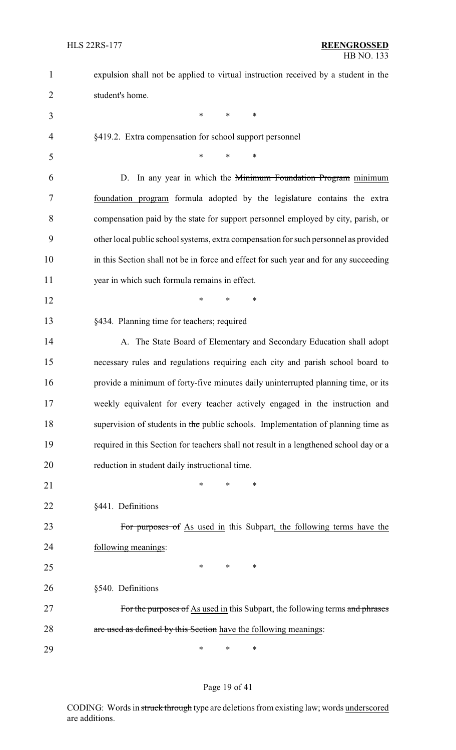| $\mathbf{1}$   | expulsion shall not be applied to virtual instruction received by a student in the     |
|----------------|----------------------------------------------------------------------------------------|
| $\overline{2}$ | student's home.                                                                        |
| 3              | $\ast$<br>$\ast$<br>*                                                                  |
| $\overline{4}$ | §419.2. Extra compensation for school support personnel                                |
| 5              | $\ast$<br>*<br>*                                                                       |
| 6              | D. In any year in which the <del>Minimum Foundation Program</del> minimum              |
| 7              | foundation program formula adopted by the legislature contains the extra               |
| 8              | compensation paid by the state for support personnel employed by city, parish, or      |
| 9              | other local public school systems, extra compensation for such personnel as provided   |
| 10             | in this Section shall not be in force and effect for such year and for any succeeding  |
| 11             | year in which such formula remains in effect.                                          |
| 12             | $\ast$<br>*<br>*                                                                       |
| 13             | §434. Planning time for teachers; required                                             |
| 14             | A. The State Board of Elementary and Secondary Education shall adopt                   |
| 15             | necessary rules and regulations requiring each city and parish school board to         |
| 16             | provide a minimum of forty-five minutes daily uninterrupted planning time, or its      |
| 17             | weekly equivalent for every teacher actively engaged in the instruction and            |
| 18             | supervision of students in the public schools. Implementation of planning time as      |
| 19             | required in this Section for teachers shall not result in a lengthened school day or a |
| 20             | reduction in student daily instructional time.                                         |
| 21             | *<br>*<br>∗                                                                            |
| 22             | §441. Definitions                                                                      |
| 23             | For purposes of As used in this Subpart, the following terms have the                  |
| 24             | following meanings:                                                                    |
| 25             | *<br>∗<br>∗                                                                            |
| 26             | §540. Definitions                                                                      |
| 27             | For the purposes of As used in this Subpart, the following terms and phrases           |
| 28             | are used as defined by this Section have the following meanings:                       |
| 29             | *<br>∗<br>∗                                                                            |

# Page 19 of 41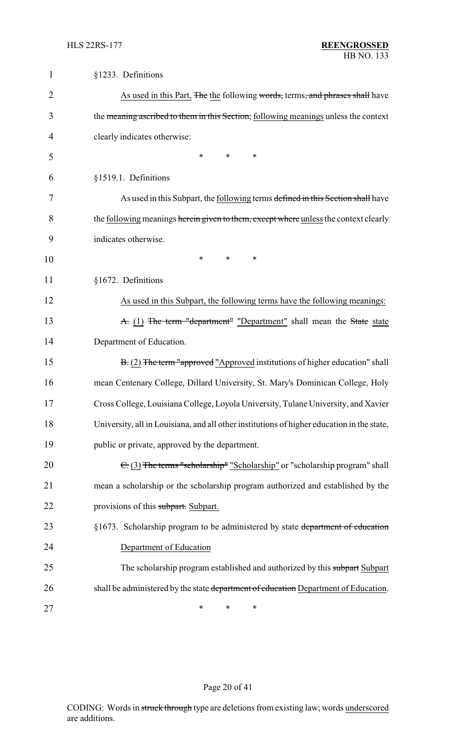| $\mathbf{1}$   | §1233. Definitions                                                                         |
|----------------|--------------------------------------------------------------------------------------------|
| $\overline{2}$ | As used in this Part, The the following words, terms, and phrases shall have               |
| 3              | the meaning ascribed to them in this Section, following meanings unless the context        |
| 4              | clearly indicates otherwise:                                                               |
| 5              | $\ast$<br>*<br>*                                                                           |
| 6              | §1519.1. Definitions                                                                       |
| 7              | As used in this Subpart, the following terms defined in this Section shall have            |
| 8              | the following meanings herein given to them, except where unless the context clearly       |
| 9              | indicates otherwise.                                                                       |
| 10             | *<br>∗<br>∗                                                                                |
| 11             | §1672. Definitions                                                                         |
| 12             | As used in this Subpart, the following terms have the following meanings:                  |
| 13             | A. (1) The term "department" "Department" shall mean the State state                       |
| 14             | Department of Education.                                                                   |
| 15             | B. (2) The term "approved "Approved institutions of higher education" shall                |
| 16             | mean Centenary College, Dillard University, St. Mary's Dominican College, Holy             |
| 17             | Cross College, Louisiana College, Loyola University, Tulane University, and Xavier         |
| 18             | University, all in Louisiana, and all other institutions of higher education in the state, |
| 19             | public or private, approved by the department.                                             |
| 20             | $\epsilon$ (3) The terms "scholarship" "Scholarship" or "scholarship program" shall        |
| 21             | mean a scholarship or the scholarship program authorized and established by the            |
| 22             | provisions of this subpart. Subpart.                                                       |
| 23             | §1673. Scholarship program to be administered by state department of education             |
| 24             | Department of Education                                                                    |
| 25             | The scholarship program established and authorized by this subpart Subpart                 |
| 26             | shall be administered by the state department of education Department of Education.        |
| 27             | ∗<br>∗<br>∗                                                                                |

# Page 20 of 41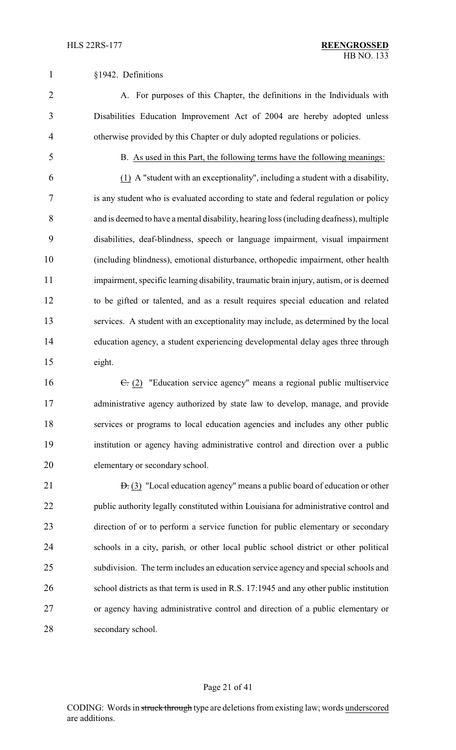#### §1942. Definitions

 A. For purposes of this Chapter, the definitions in the Individuals with Disabilities Education Improvement Act of 2004 are hereby adopted unless otherwise provided by this Chapter or duly adopted regulations or policies.

#### B. As used in this Part, the following terms have the following meanings:

 (1) A "student with an exceptionality", including a student with a disability, is any student who is evaluated according to state and federal regulation or policy and is deemed to have a mental disability, hearing loss (including deafness), multiple disabilities, deaf-blindness, speech or language impairment, visual impairment (including blindness), emotional disturbance, orthopedic impairment, other health impairment, specific learning disability, traumatic brain injury, autism, or is deemed to be gifted or talented, and as a result requires special education and related services. A student with an exceptionality may include, as determined by the local education agency, a student experiencing developmental delay ages three through eight.

16 <del>C.</del> (2) "Education service agency" means a regional public multiservice administrative agency authorized by state law to develop, manage, and provide services or programs to local education agencies and includes any other public institution or agency having administrative control and direction over a public elementary or secondary school.

21 <del>D.</del> (3) "Local education agency" means a public board of education or other public authority legally constituted within Louisiana for administrative control and direction of or to perform a service function for public elementary or secondary schools in a city, parish, or other local public school district or other political subdivision. The term includes an education service agency and special schools and school districts as that term is used in R.S. 17:1945 and any other public institution or agency having administrative control and direction of a public elementary or secondary school.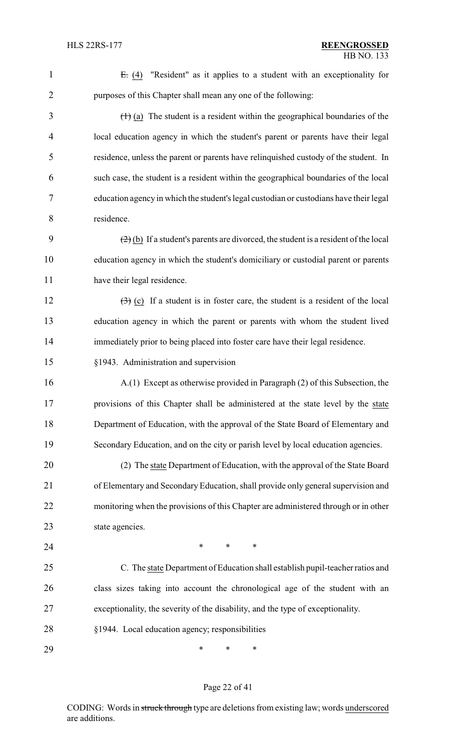| $\mathbf{1}$   | $E: (4)$ "Resident" as it applies to a student with an exceptionality for                                  |
|----------------|------------------------------------------------------------------------------------------------------------|
| $\overline{2}$ | purposes of this Chapter shall mean any one of the following:                                              |
| 3              | $(1)$ (a) The student is a resident within the geographical boundaries of the                              |
| 4              | local education agency in which the student's parent or parents have their legal                           |
| 5              | residence, unless the parent or parents have relinquished custody of the student. In                       |
| 6              | such case, the student is a resident within the geographical boundaries of the local                       |
| $\tau$         | education agency in which the student's legal custodian or custodians have their legal                     |
| 8              | residence.                                                                                                 |
| 9              | $\left(\frac{2}{2}\right)$ (b) If a student's parents are divorced, the student is a resident of the local |
| 10             | education agency in which the student's domiciliary or custodial parent or parents                         |
| 11             | have their legal residence.                                                                                |
| 12             | $\left(\frac{1}{2}\right)$ (c) If a student is in foster care, the student is a resident of the local      |
| 13             | education agency in which the parent or parents with whom the student lived                                |
| 14             | immediately prior to being placed into foster care have their legal residence.                             |
| 15             | §1943. Administration and supervision                                                                      |
| 16             | A.(1) Except as otherwise provided in Paragraph (2) of this Subsection, the                                |
| 17             | provisions of this Chapter shall be administered at the state level by the state                           |
| 18             | Department of Education, with the approval of the State Board of Elementary and                            |
| 19             | Secondary Education, and on the city or parish level by local education agencies.                          |
| 20             | (2) The state Department of Education, with the approval of the State Board                                |
| 21             | of Elementary and Secondary Education, shall provide only general supervision and                          |
| 22             | monitoring when the provisions of this Chapter are administered through or in other                        |
| 23             | state agencies.                                                                                            |
| 24             | ∗<br>∗<br>∗                                                                                                |
| 25             | C. The state Department of Education shall establish pupil-teacher ratios and                              |
| 26             | class sizes taking into account the chronological age of the student with an                               |
| 27             | exceptionality, the severity of the disability, and the type of exceptionality.                            |
| 28             | §1944. Local education agency; responsibilities                                                            |
| 29             | ∗<br>∗<br>∗                                                                                                |

# Page 22 of 41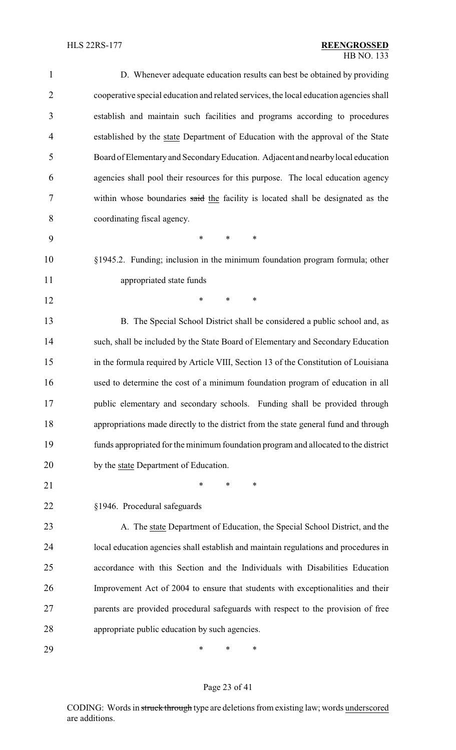| $\mathbf{1}$   | D. Whenever adequate education results can best be obtained by providing               |
|----------------|----------------------------------------------------------------------------------------|
| $\overline{2}$ | cooperative special education and related services, the local education agencies shall |
| 3              | establish and maintain such facilities and programs according to procedures            |
| 4              | established by the state Department of Education with the approval of the State        |
| 5              | Board of Elementary and Secondary Education. Adjacent and nearby local education       |
| 6              | agencies shall pool their resources for this purpose. The local education agency       |
| 7              | within whose boundaries said the facility is located shall be designated as the        |
| 8              | coordinating fiscal agency.                                                            |
| 9              | *<br>$\ast$<br>$\ast$                                                                  |
| 10             | §1945.2. Funding; inclusion in the minimum foundation program formula; other           |
| 11             | appropriated state funds                                                               |
| 12             | $\ast$<br>*<br>$\ast$                                                                  |
| 13             | B. The Special School District shall be considered a public school and, as             |
| 14             | such, shall be included by the State Board of Elementary and Secondary Education       |
| 15             | in the formula required by Article VIII, Section 13 of the Constitution of Louisiana   |
| 16             | used to determine the cost of a minimum foundation program of education in all         |
| 17             | public elementary and secondary schools. Funding shall be provided through             |
| 18             | appropriations made directly to the district from the state general fund and through   |
| 19             | funds appropriated for the minimum foundation program and allocated to the district    |
| 20             | by the state Department of Education.                                                  |
| 21             | $\ast$<br>∗<br>∗                                                                       |
| 22             | §1946. Procedural safeguards                                                           |
| 23             | A. The state Department of Education, the Special School District, and the             |
| 24             | local education agencies shall establish and maintain regulations and procedures in    |
| 25             | accordance with this Section and the Individuals with Disabilities Education           |
| 26             | Improvement Act of 2004 to ensure that students with exceptionalities and their        |
| 27             | parents are provided procedural safeguards with respect to the provision of free       |
| 28             | appropriate public education by such agencies.                                         |
| 29             | ∗<br>∗<br>∗                                                                            |

# Page 23 of 41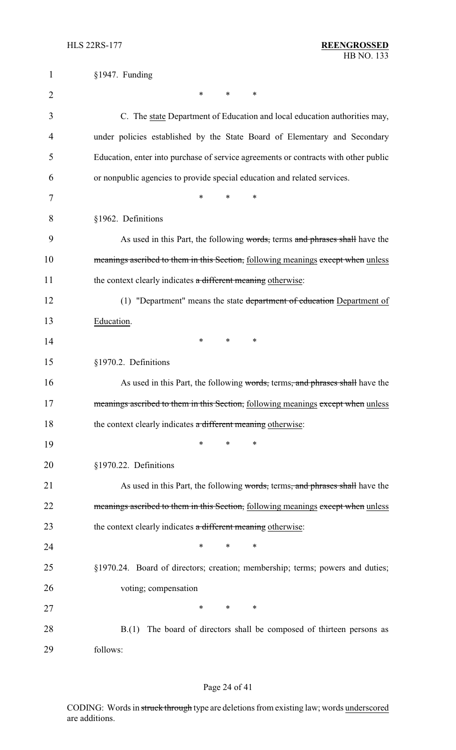| $\mathbf{1}$   | §1947. Funding                                                                      |
|----------------|-------------------------------------------------------------------------------------|
| $\overline{2}$ | *<br>*<br>∗                                                                         |
| 3              | C. The state Department of Education and local education authorities may,           |
| 4              | under policies established by the State Board of Elementary and Secondary           |
| 5              | Education, enter into purchase of service agreements or contracts with other public |
| 6              | or nonpublic agencies to provide special education and related services.            |
| 7              | $\ast$<br>*<br>*                                                                    |
| 8              | §1962. Definitions                                                                  |
| 9              | As used in this Part, the following words, terms and phrases shall have the         |
| 10             | meanings ascribed to them in this Section, following meanings except when unless    |
| 11             | the context clearly indicates a different meaning otherwise:                        |
| 12             | (1) "Department" means the state department of education Department of              |
| 13             | Education.                                                                          |
| 14             | *<br>$\ast$<br>∗                                                                    |
| 15             | §1970.2. Definitions                                                                |
| 16             | As used in this Part, the following words, terms, and phrases shall have the        |
| 17             | meanings ascribed to them in this Section, following meanings except when unless    |
| 18             | the context clearly indicates a different meaning otherwise:                        |
| 19             | ∗<br>*                                                                              |
| 20             | §1970.22. Definitions                                                               |
| 21             | As used in this Part, the following words, terms, and phrases shall have the        |
| 22             | meanings ascribed to them in this Section, following meanings except when unless    |
| 23             | the context clearly indicates a different meaning otherwise:                        |
| 24             | *<br>∗<br>*                                                                         |
| 25             | §1970.24. Board of directors; creation; membership; terms; powers and duties;       |
| 26             | voting; compensation                                                                |
| 27             | ∗<br>*<br>∗                                                                         |
| 28             | B.(1) The board of directors shall be composed of thirteen persons as               |
| 29             | follows:                                                                            |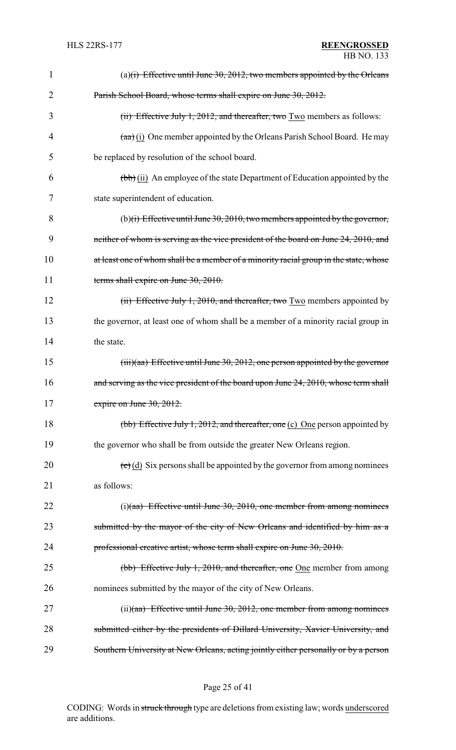| 1              | (a) $(i)$ Effective until June 30, 2012, two members appointed by the Orleans                     |
|----------------|---------------------------------------------------------------------------------------------------|
| $\overline{2}$ | Parish School Board, whose terms shall expire on June 30, 2012.                                   |
| 3              | (ii) Effective July 1, 2012, and thereafter, two $Two$ members as follows:                        |
| 4              | $(a\overrightarrow{a})$ (i) One member appointed by the Orleans Parish School Board. He may       |
| 5              | be replaced by resolution of the school board.                                                    |
| 6              | $(\overline{bb})$ (ii) An employee of the state Department of Education appointed by the          |
| 7              | state superintendent of education.                                                                |
| 8              | (b)(i) Effective until June 30, 2010, two members appointed by the governor,                      |
| 9              | neither of whom is serving as the vice president of the board on June 24, 2010, and               |
| 10             | at least one of whom shall be a member of a minority racial group in the state, whose             |
| 11             | terms shall expire on June 30, 2010.                                                              |
| 12             | (ii) Effective July 1, 2010, and thereafter, two Two members appointed by                         |
| 13             | the governor, at least one of whom shall be a member of a minority racial group in                |
| 14             | the state.                                                                                        |
| 15             | $(iii)(aa)$ Effective until June 30, 2012, one person appointed by the governor                   |
| 16             | and serving as the vice president of the board upon June 24, 2010, whose term shall               |
| 17             | expire on June $30, 2012$ .                                                                       |
| 18             | (bb) Effective July 1, 2012, and thereafter, one (c) One person appointed by                      |
| 19             | the governor who shall be from outside the greater New Orleans region.                            |
| 20             | $\left(\frac{e}{c}\right)$ (d) Six persons shall be appointed by the governor from among nominees |
| 21             | as follows:                                                                                       |
| 22             | $(i)(aa)$ Effective until June 30, 2010, one member from among nominees                           |
| 23             | submitted by the mayor of the city of New Orleans and identified by him as a                      |
| 24             | professional creative artist, whose term shall expire on June 30, 2010.                           |
| 25             | (bb) Effective July 1, 2010, and thereafter, one One member from among                            |
| 26             | nominees submitted by the mayor of the city of New Orleans.                                       |
| 27             | $(ii)(aa)$ Effective until June 30, 2012, one member from among nominees                          |
| 28             | submitted either by the presidents of Dillard University, Xavier University, and                  |
| 29             | Southern University at New Orleans, acting jointly either personally or by a person               |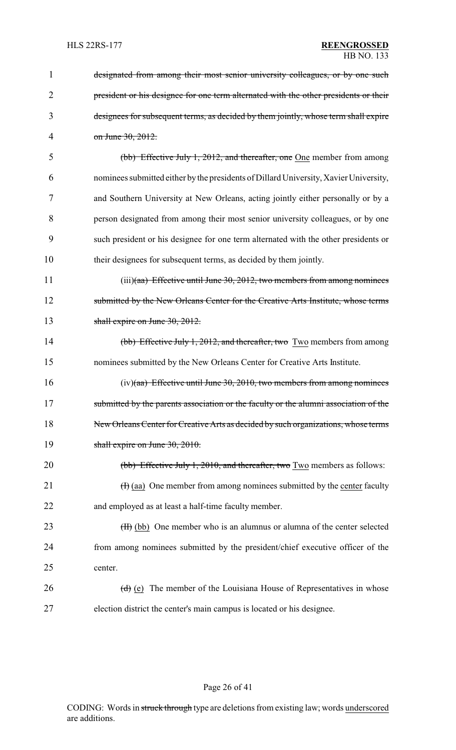| 1              | designated from among their most senior university colleagues, or by one such         |
|----------------|---------------------------------------------------------------------------------------|
| $\overline{2}$ | president or his designee for one term alternated with the other presidents or their  |
| 3              | designees for subsequent terms, as decided by them jointly, whose term shall expire   |
| 4              | on June 30, 2012.                                                                     |
| 5              | (bb) Effective July 1, 2012, and thereafter, one One member from among                |
| 6              | nominees submitted either by the presidents of Dillard University, Xavier University, |
| 7              | and Southern University at New Orleans, acting jointly either personally or by a      |
| 8              | person designated from among their most senior university colleagues, or by one       |
| 9              | such president or his designee for one term alternated with the other presidents or   |
| 10             | their designees for subsequent terms, as decided by them jointly.                     |
| 11             | $(iii)(aa)$ Effective until June 30, 2012, two members from among nominees            |
| 12             | submitted by the New Orleans Center for the Creative Arts Institute, whose terms      |
| 13             | shall expire on June $30, 2012$ .                                                     |
| 14             | (bb) Effective July 1, 2012, and thereafter, two Two members from among               |
| 15             | nominees submitted by the New Orleans Center for Creative Arts Institute.             |
| 16             | $(iv)(aa)$ Effective until June 30, 2010, two members from among nominees             |
| 17             | submitted by the parents association or the faculty or the alumni association of the  |
| 18             | New Orleans Center for Creative Arts as decided by such organizations, whose terms    |
| 19             | shall expire on June 30, 2010.                                                        |
| 20             | (bb) Effective July 1, 2010, and thereafter, two Two members as follows:              |
| 21             | $(H)$ (aa) One member from among nominees submitted by the center faculty             |
| 22             | and employed as at least a half-time faculty member.                                  |
| 23             | (H) (bb) One member who is an alumnus or alumna of the center selected                |
| 24             | from among nominees submitted by the president/chief executive officer of the         |
| 25             | center.                                                                               |
| 26             | $(d)$ (e) The member of the Louisiana House of Representatives in whose               |
| 27             | election district the center's main campus is located or his designee.                |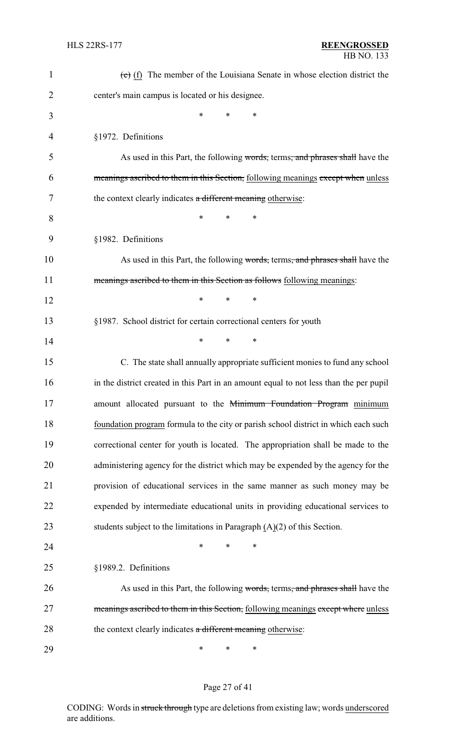| $\mathbf 1$    | $(e)$ (f) The member of the Louisiana Senate in whose election district the            |
|----------------|----------------------------------------------------------------------------------------|
| $\overline{2}$ | center's main campus is located or his designee.                                       |
| 3              | *<br>*<br>∗                                                                            |
| 4              | §1972. Definitions                                                                     |
| 5              | As used in this Part, the following words, terms, and phrases shall have the           |
| 6              | meanings ascribed to them in this Section, following meanings except when unless       |
| 7              | the context clearly indicates a different meaning otherwise:                           |
| 8              | *<br>*<br>*                                                                            |
| 9              | §1982. Definitions                                                                     |
| 10             | As used in this Part, the following words, terms, and phrases shall have the           |
| 11             | meanings ascribed to them in this Section as follows following meanings:               |
| 12             | *<br>*<br>∗                                                                            |
| 13             | §1987. School district for certain correctional centers for youth                      |
| 14             | $\ast$<br>*<br>∗                                                                       |
| 15             | C. The state shall annually appropriate sufficient monies to fund any school           |
| 16             | in the district created in this Part in an amount equal to not less than the per pupil |
| 17             | amount allocated pursuant to the Minimum Foundation Program minimum                    |
| 18             | foundation program formula to the city or parish school district in which each such    |
| 19             | correctional center for youth is located. The appropriation shall be made to the       |
| 20             | administering agency for the district which may be expended by the agency for the      |
| 21             | provision of educational services in the same manner as such money may be              |
| 22             | expended by intermediate educational units in providing educational services to        |
| 23             | students subject to the limitations in Paragraph $(A)(2)$ of this Section.             |
| 24             | ∗<br>*<br>∗                                                                            |
| 25             | §1989.2. Definitions                                                                   |
| 26             | As used in this Part, the following words, terms, and phrases shall have the           |
| 27             | meanings ascribed to them in this Section, following meanings except where unless      |
| 28             | the context clearly indicates a different meaning otherwise:                           |
| 29             | ∗<br>∗<br>∗                                                                            |

# Page 27 of 41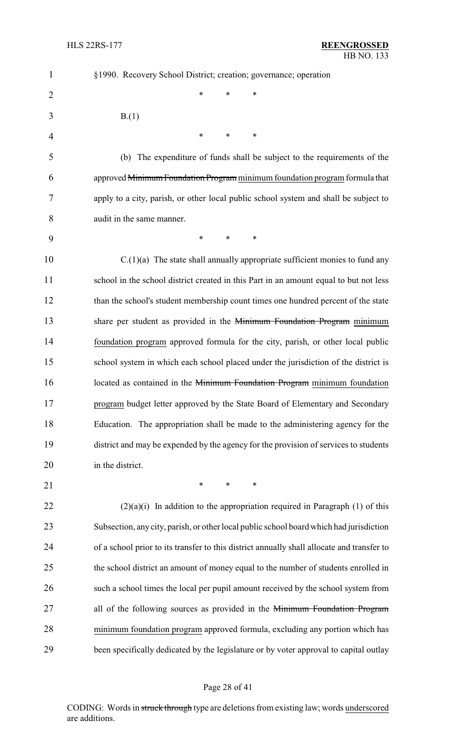| $\mathbf{1}$   | §1990. Recovery School District; creation; governance; operation                           |
|----------------|--------------------------------------------------------------------------------------------|
| $\overline{2}$ | *<br>*<br>*                                                                                |
| 3              | B(1)                                                                                       |
| 4              | *<br>*<br>∗                                                                                |
| 5              | (b) The expenditure of funds shall be subject to the requirements of the                   |
| 6              | approved Minimum Foundation Program minimum foundation program formula that                |
| 7              | apply to a city, parish, or other local public school system and shall be subject to       |
| 8              | audit in the same manner.                                                                  |
| 9              | $\ast$<br>$\ast$<br>*                                                                      |
| 10             | $C(1)(a)$ The state shall annually appropriate sufficient monies to fund any               |
| 11             | school in the school district created in this Part in an amount equal to but not less      |
| 12             | than the school's student membership count times one hundred percent of the state          |
| 13             | share per student as provided in the Minimum Foundation Program minimum                    |
| 14             | foundation program approved formula for the city, parish, or other local public            |
| 15             | school system in which each school placed under the jurisdiction of the district is        |
| 16             | located as contained in the Minimum Foundation Program minimum foundation                  |
| 17             | program budget letter approved by the State Board of Elementary and Secondary              |
| 18             | Education. The appropriation shall be made to the administering agency for the             |
| 19             | district and may be expended by the agency for the provision of services to students       |
| 20             | in the district.                                                                           |
| 21             | $\ast$<br>$\ast$<br>$\ast$                                                                 |
| 22             | $(2)(a)(i)$ In addition to the appropriation required in Paragraph (1) of this             |
| 23             | Subsection, any city, parish, or other local public school board which had jurisdiction    |
| 24             | of a school prior to its transfer to this district annually shall allocate and transfer to |
| 25             | the school district an amount of money equal to the number of students enrolled in         |
| 26             | such a school times the local per pupil amount received by the school system from          |
| 27             | all of the following sources as provided in the Minimum Foundation Program                 |
| 28             | minimum foundation program approved formula, excluding any portion which has               |
| 29             | been specifically dedicated by the legislature or by voter approval to capital outlay      |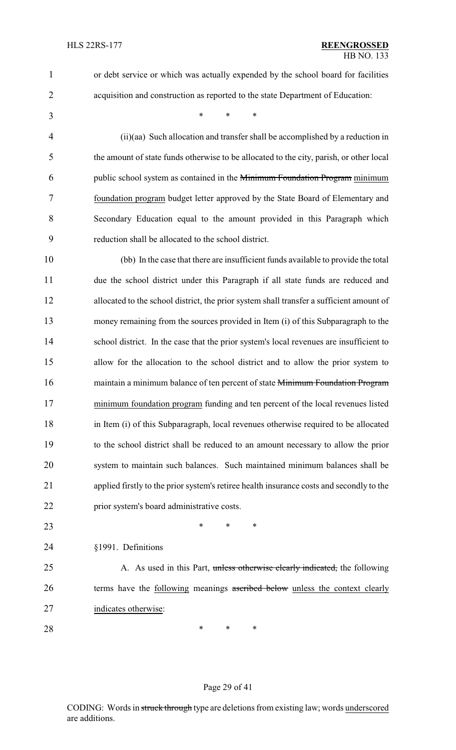or debt service or which was actually expended by the school board for facilities

- acquisition and construction as reported to the state Department of Education:
- \* \* \*

 (ii)(aa) Such allocation and transfer shall be accomplished by a reduction in the amount of state funds otherwise to be allocated to the city, parish, or other local public school system as contained in the Minimum Foundation Program minimum foundation program budget letter approved by the State Board of Elementary and Secondary Education equal to the amount provided in this Paragraph which reduction shall be allocated to the school district.

 (bb) In the case that there are insufficient funds available to provide the total due the school district under this Paragraph if all state funds are reduced and allocated to the school district, the prior system shall transfer a sufficient amount of money remaining from the sources provided in Item (i) of this Subparagraph to the 14 school district. In the case that the prior system's local revenues are insufficient to allow for the allocation to the school district and to allow the prior system to 16 maintain a minimum balance of ten percent of state Minimum Foundation Program minimum foundation program funding and ten percent of the local revenues listed in Item (i) of this Subparagraph, local revenues otherwise required to be allocated to the school district shall be reduced to an amount necessary to allow the prior system to maintain such balances. Such maintained minimum balances shall be applied firstly to the prior system's retiree health insurance costs and secondly to the prior system's board administrative costs.

- **\*** \* \* \*
- §1991. Definitions
- 25 A. As used in this Part, unless otherwise clearly indicated, the following 26 terms have the following meanings ascribed below unless the context clearly indicates otherwise:
- **\*** \* \* \*

#### Page 29 of 41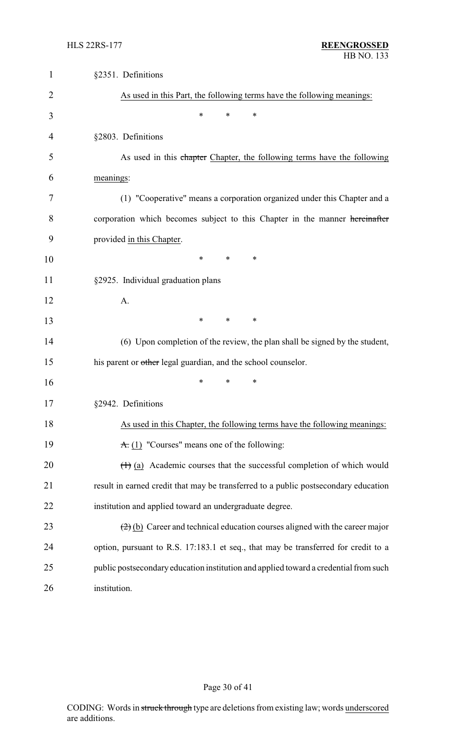| $\mathbf{1}$   | §2351. Definitions                                                                                  |
|----------------|-----------------------------------------------------------------------------------------------------|
| 2              | As used in this Part, the following terms have the following meanings:                              |
| 3              | $\ast$<br>$\ast$<br>$\ast$                                                                          |
| $\overline{4}$ | §2803. Definitions                                                                                  |
| 5              | As used in this chapter Chapter, the following terms have the following                             |
| 6              | meanings:                                                                                           |
| 7              | (1) "Cooperative" means a corporation organized under this Chapter and a                            |
| 8              | corporation which becomes subject to this Chapter in the manner hereinafter                         |
| 9              | provided in this Chapter.                                                                           |
| 10             | *<br>*<br>∗                                                                                         |
| 11             | §2925. Individual graduation plans                                                                  |
| 12             | A.                                                                                                  |
| 13             | $\ast$<br>∗<br>∗                                                                                    |
| 14             | (6) Upon completion of the review, the plan shall be signed by the student,                         |
| 15             | his parent or other legal guardian, and the school counselor.                                       |
| 16             | $\ast$<br>∗<br>*                                                                                    |
| 17             | §2942. Definitions                                                                                  |
| 18             | As used in this Chapter, the following terms have the following meanings:                           |
| 19             | $\overline{A}$ . (1) "Courses" means one of the following:                                          |
| 20             | $(1)$ (a) Academic courses that the successful completion of which would                            |
| 21             | result in earned credit that may be transferred to a public postsecondary education                 |
| 22             | institution and applied toward an undergraduate degree.                                             |
| 23             | $\left(\frac{2}{2}\right)$ (b) Career and technical education courses aligned with the career major |
| 24             | option, pursuant to R.S. 17:183.1 et seq., that may be transferred for credit to a                  |
| 25             | public postsecondary education institution and applied toward a credential from such                |
| 26             | institution.                                                                                        |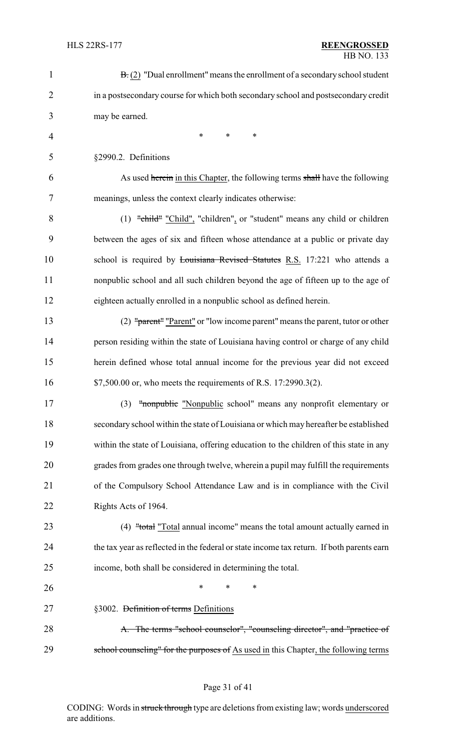| $\mathbf{1}$   | $\mathbf{B}$ . (2) "Dual enrollment" means the enrollment of a secondary school student   |
|----------------|-------------------------------------------------------------------------------------------|
| $\overline{2}$ | in a postsecondary course for which both secondary school and postsecondary credit        |
| 3              | may be earned.                                                                            |
| $\overline{4}$ | $\ast$<br>*<br>$\ast$                                                                     |
| 5              | §2990.2. Definitions                                                                      |
| 6              | As used herein in this Chapter, the following terms shall have the following              |
| 7              | meanings, unless the context clearly indicates otherwise:                                 |
| 8              | $(1)$ "child" "Child", "children", or "student" means any child or children               |
| 9              | between the ages of six and fifteen whose attendance at a public or private day           |
| 10             | school is required by Louisiana Revised Statutes R.S. 17:221 who attends a                |
| 11             | nonpublic school and all such children beyond the age of fifteen up to the age of         |
| 12             | eighteen actually enrolled in a nonpublic school as defined herein.                       |
| 13             | (2) "parent" "Parent" or "low income parent" means the parent, tutor or other             |
| 14             | person residing within the state of Louisiana having control or charge of any child       |
| 15             | herein defined whose total annual income for the previous year did not exceed             |
| 16             | \$7,500.00 or, who meets the requirements of R.S. 17:2990.3(2).                           |
| 17             | (3) "nonpublic "Nonpublic school" means any nonprofit elementary or                       |
| 18             | secondary school within the state of Louisiana or which may hereafter be established      |
| 19             | within the state of Louisiana, offering education to the children of this state in any    |
| 20             | grades from grades one through twelve, wherein a pupil may fulfill the requirements       |
| 21             | of the Compulsory School Attendance Law and is in compliance with the Civil               |
| 22             | Rights Acts of 1964.                                                                      |
| 23             | (4) "total "Total annual income" means the total amount actually earned in                |
| 24             | the tax year as reflected in the federal or state income tax return. If both parents earn |
| 25             | income, both shall be considered in determining the total.                                |
| 26             | $\ast$<br>∗<br>∗                                                                          |
| 27             | §3002. Definition of terms Definitions                                                    |
| 28             | A. The terms "school counselor", "counseling director", and "practice of                  |
| 29             | school counseling" for the purposes of As used in this Chapter, the following terms       |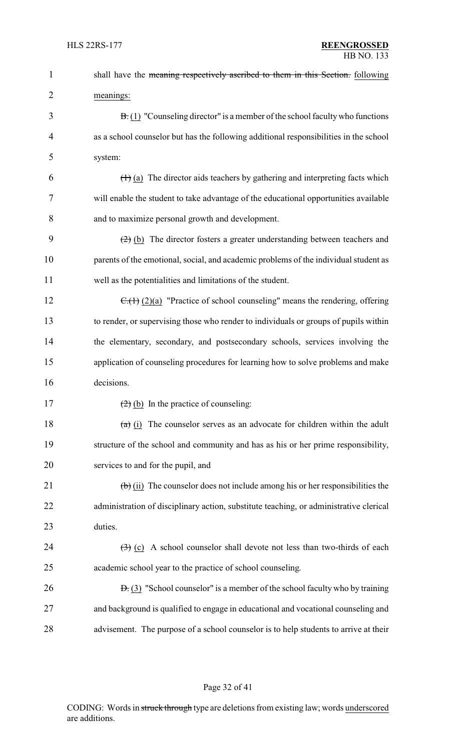| 1              | shall have the meaning respectively ascribed to them in this Section. following                      |
|----------------|------------------------------------------------------------------------------------------------------|
| $\overline{2}$ | meanings:                                                                                            |
| 3              | $\overline{B}(1)$ "Counseling director" is a member of the school faculty who functions              |
| $\overline{4}$ | as a school counselor but has the following additional responsibilities in the school                |
| 5              | system:                                                                                              |
| 6              | $(1)$ (a) The director aids teachers by gathering and interpreting facts which                       |
| 7              | will enable the student to take advantage of the educational opportunities available                 |
| 8              | and to maximize personal growth and development.                                                     |
| 9              | $\left(\frac{2}{2}\right)$ (b) The director fosters a greater understanding between teachers and     |
| 10             | parents of the emotional, social, and academic problems of the individual student as                 |
| 11             | well as the potentialities and limitations of the student.                                           |
| 12             | $\overline{C_1(1)}$ (2)(a) "Practice of school counseling" means the rendering, offering             |
| 13             | to render, or supervising those who render to individuals or groups of pupils within                 |
| 14             | the elementary, secondary, and postsecondary schools, services involving the                         |
| 15             | application of counseling procedures for learning how to solve problems and make                     |
| 16             | decisions.                                                                                           |
| 17             | $(2)$ (b) In the practice of counseling:                                                             |
| 18             | $\overline{a}$ (i) The counselor serves as an advocate for children within the adult                 |
| 19             | structure of the school and community and has as his or her prime responsibility,                    |
| 20             | services to and for the pupil, and                                                                   |
| 21             | $\left(\frac{b}{c}\right)$ (ii) The counselor does not include among his or her responsibilities the |
| 22             | administration of disciplinary action, substitute teaching, or administrative clerical               |
| 23             | duties.                                                                                              |
| 24             | $\left(\frac{1}{2}\right)$ (c) A school counselor shall devote not less than two-thirds of each      |
| 25             | academic school year to the practice of school counseling.                                           |
| 26             | $\overline{B}$ . (3) "School counselor" is a member of the school faculty who by training            |
| 27             | and background is qualified to engage in educational and vocational counseling and                   |
| 28             | advisement. The purpose of a school counselor is to help students to arrive at their                 |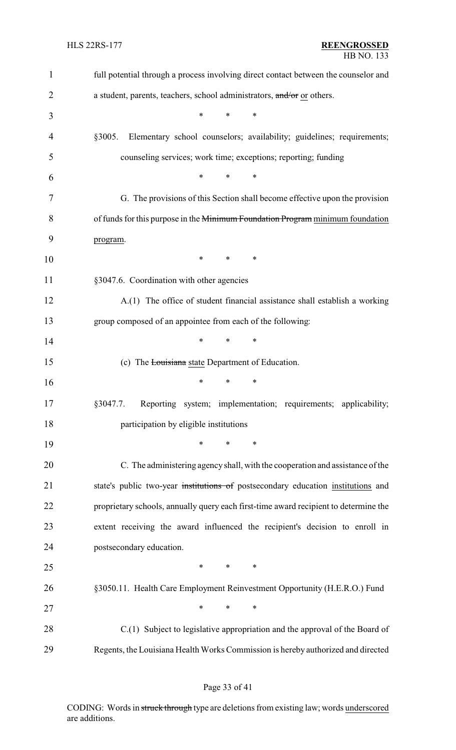| $\mathbf{1}$   | full potential through a process involving direct contact between the counselor and  |
|----------------|--------------------------------------------------------------------------------------|
| $\overline{2}$ | a student, parents, teachers, school administrators, and/or or others.               |
| 3              | *<br>*<br>∗                                                                          |
| 4              | Elementary school counselors; availability; guidelines; requirements;<br>§3005.      |
| 5              | counseling services; work time; exceptions; reporting; funding                       |
| 6              | *<br>$\ast$<br>*                                                                     |
| 7              | G. The provisions of this Section shall become effective upon the provision          |
| 8              | of funds for this purpose in the Minimum Foundation Program minimum foundation       |
| 9              | program.                                                                             |
| 10             | $\ast$<br>$\ast$<br>∗                                                                |
| 11             | §3047.6. Coordination with other agencies                                            |
| 12             | A.(1) The office of student financial assistance shall establish a working           |
| 13             | group composed of an appointee from each of the following:                           |
| 14             | $\ast$<br>*<br>*                                                                     |
| 15             | (c) The Louisiana state Department of Education.                                     |
| 16             | $\ast$<br>*<br>*                                                                     |
| 17             | Reporting system; implementation; requirements; applicability;<br>§3047.7.           |
| 18             | participation by eligible institutions                                               |
| 19             | ∗<br>*<br>∗                                                                          |
| 20             | C. The administering agency shall, with the cooperation and assistance of the        |
| 21             | state's public two-year institutions of postsecondary education institutions and     |
| 22             | proprietary schools, annually query each first-time award recipient to determine the |
| 23             | extent receiving the award influenced the recipient's decision to enroll in          |
| 24             | postsecondary education.                                                             |
| 25             | $\ast$<br>$\ast$<br>$\ast$                                                           |
| 26             | §3050.11. Health Care Employment Reinvestment Opportunity (H.E.R.O.) Fund            |
| 27             | $\ast$<br>$\ast$<br>$\ast$                                                           |
| 28             | C.(1) Subject to legislative appropriation and the approval of the Board of          |
| 29             | Regents, the Louisiana Health Works Commission is hereby authorized and directed     |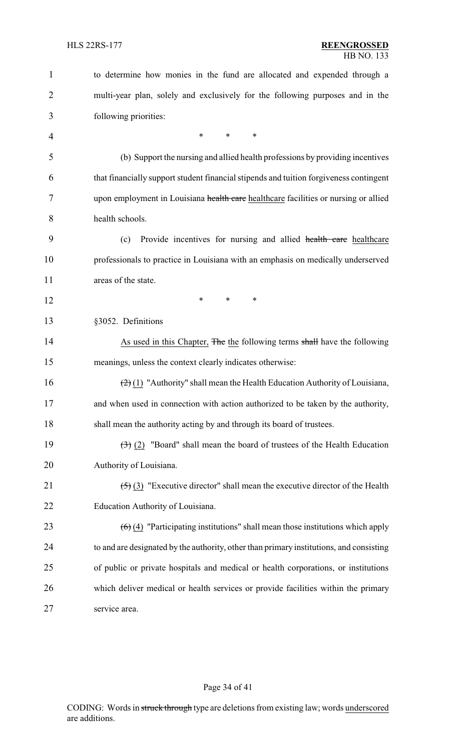| $\mathbf{1}$   | to determine how monies in the fund are allocated and expended through a                            |
|----------------|-----------------------------------------------------------------------------------------------------|
| 2              | multi-year plan, solely and exclusively for the following purposes and in the                       |
| 3              | following priorities:                                                                               |
| $\overline{4}$ | $\ast$<br>$\ast$<br>*                                                                               |
| 5              | (b) Support the nursing and allied health professions by providing incentives                       |
| 6              | that financially support student financial stipends and tuition forgiveness contingent              |
| 7              | upon employment in Louisiana health care healthcare facilities or nursing or allied                 |
| 8              | health schools.                                                                                     |
| 9              | Provide incentives for nursing and allied health care healthcare<br>(c)                             |
| 10             | professionals to practice in Louisiana with an emphasis on medically underserved                    |
| 11             | areas of the state.                                                                                 |
| 12             | *<br>*<br>*                                                                                         |
| 13             | §3052. Definitions                                                                                  |
| 14             | As used in this Chapter, The the following terms shall have the following                           |
| 15             | meanings, unless the context clearly indicates otherwise:                                           |
| 16             | $\left(\frac{2}{2}\right)(1)$ "Authority" shall mean the Health Education Authority of Louisiana,   |
| 17             | and when used in connection with action authorized to be taken by the authority,                    |
| 18             | shall mean the authority acting by and through its board of trustees.                               |
| 19             | $\left(\frac{1}{2}\right)$ (2) "Board" shall mean the board of trustees of the Health Education     |
| 20             | Authority of Louisiana.                                                                             |
| 21             | $\left(\frac{1}{2}\right)$ (3) "Executive director" shall mean the executive director of the Health |
| 22             | Education Authority of Louisiana.                                                                   |
| 23             | $\left(\frac{6}{2}\right)$ "Participating institutions" shall mean those institutions which apply   |
| 24             | to and are designated by the authority, other than primary institutions, and consisting             |
| 25             | of public or private hospitals and medical or health corporations, or institutions                  |
| 26             | which deliver medical or health services or provide facilities within the primary                   |
| 27             | service area.                                                                                       |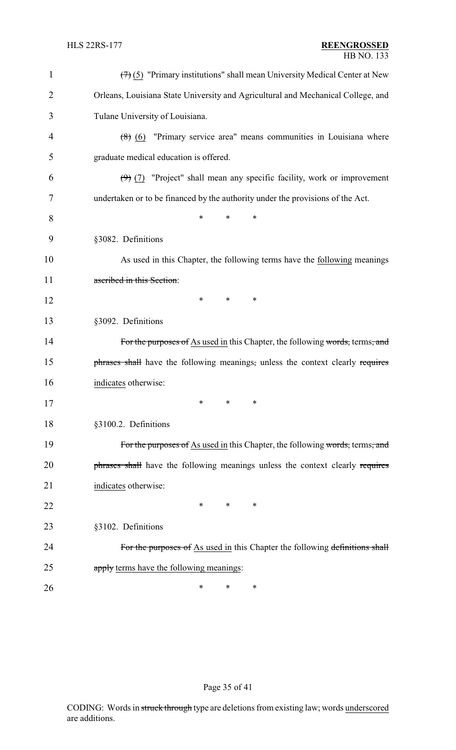| $\mathbf{1}$ | $(7)$ (5) "Primary institutions" shall mean University Medical Center at New     |
|--------------|----------------------------------------------------------------------------------|
| 2            | Orleans, Louisiana State University and Agricultural and Mechanical College, and |
| 3            | Tulane University of Louisiana.                                                  |
| 4            | $(8)$ (6) "Primary service area" means communities in Louisiana where            |
| 5            | graduate medical education is offered.                                           |
| 6            | $(9)$ (7) "Project" shall mean any specific facility, work or improvement        |
| 7            | undertaken or to be financed by the authority under the provisions of the Act.   |
| 8            | *<br>*<br>∗                                                                      |
| 9            | §3082. Definitions                                                               |
| 10           | As used in this Chapter, the following terms have the following meanings         |
| 11           | ascribed in this Section:                                                        |
| 12           | *<br>*<br>∗                                                                      |
| 13           | §3092. Definitions                                                               |
| 14           | For the purposes of As used in this Chapter, the following words, terms, and     |
| 15           | phrases shall have the following meanings, unless the context clearly requires   |
| 16           | indicates otherwise:                                                             |
| 17           | $\ast$ .<br>$\ast$ . The set of $\ast$<br>∗                                      |
| 18           | §3100.2. Definitions                                                             |
| 19           | For the purposes of As used in this Chapter, the following words, terms, and     |
| 20           | phrases shall have the following meanings unless the context clearly requires    |
| 21           | indicates otherwise:                                                             |
| 22           | *<br>∗<br>∗                                                                      |
| 23           | §3102. Definitions                                                               |
| 24           | For the purposes of As used in this Chapter the following definitions shall      |
| 25           | apply terms have the following meanings:                                         |
| 26           | ∗<br>∗<br>∗                                                                      |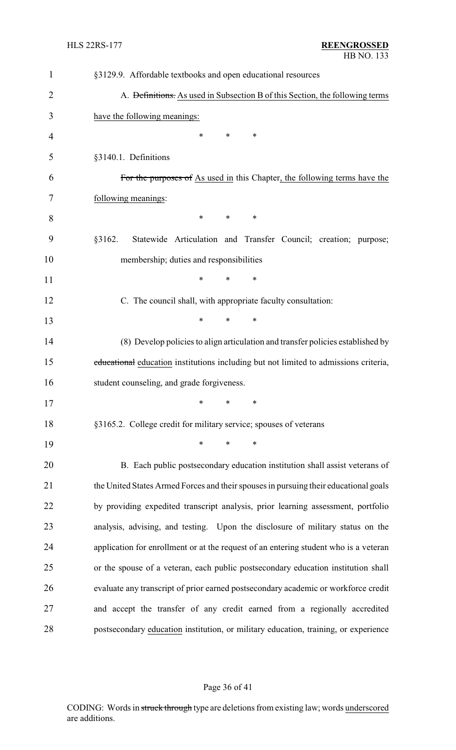| $\mathbf{1}$   | §3129.9. Affordable textbooks and open educational resources                         |
|----------------|--------------------------------------------------------------------------------------|
| $\overline{2}$ | A. Definitions. As used in Subsection B of this Section, the following terms         |
| 3              | have the following meanings:                                                         |
| $\overline{4}$ | $\ast$<br>$\ast$<br>∗                                                                |
| 5              | §3140.1. Definitions                                                                 |
| 6              | For the purposes of As used in this Chapter, the following terms have the            |
| 7              | following meanings:                                                                  |
| 8              | $\ast$<br>$\ast$<br>∗                                                                |
| 9              | §3162.<br>Statewide Articulation and Transfer Council; creation; purpose;            |
| 10             | membership; duties and responsibilities                                              |
| 11             | $\ast$<br>*<br>∗                                                                     |
| 12             | C. The council shall, with appropriate faculty consultation:                         |
| 13             | $\ast$<br>∗<br>∗                                                                     |
| 14             | (8) Develop policies to align articulation and transfer policies established by      |
| 15             | educational education institutions including but not limited to admissions criteria, |
| 16             | student counseling, and grade forgiveness.                                           |
| 17             | $*$ * *                                                                              |
| 18             | §3165.2. College credit for military service; spouses of veterans                    |
| 19             | ∗<br>$\ast$<br>∗                                                                     |
| 20             | B. Each public postsecondary education institution shall assist veterans of          |
| 21             | the United States Armed Forces and their spouses in pursuing their educational goals |
| 22             | by providing expedited transcript analysis, prior learning assessment, portfolio     |
| 23             | analysis, advising, and testing. Upon the disclosure of military status on the       |
| 24             | application for enrollment or at the request of an entering student who is a veteran |
| 25             | or the spouse of a veteran, each public postsecondary education institution shall    |
| 26             | evaluate any transcript of prior earned postsecondary academic or workforce credit   |
| 27             | and accept the transfer of any credit earned from a regionally accredited            |
| 28             | postsecondary education institution, or military education, training, or experience  |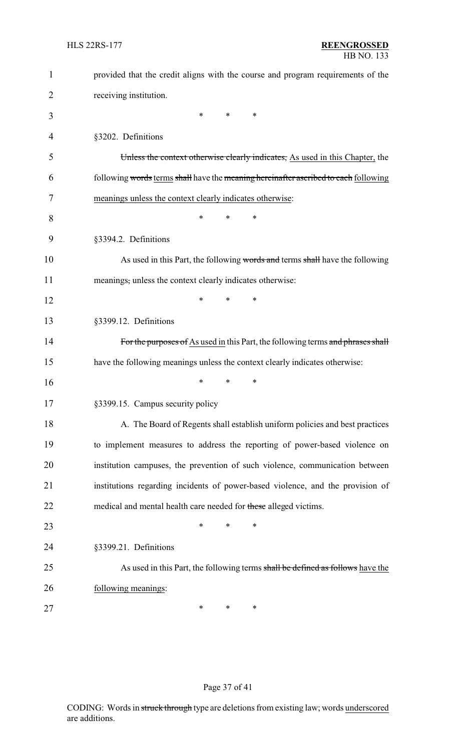| $\mathbf{1}$ | provided that the credit aligns with the course and program requirements of the     |
|--------------|-------------------------------------------------------------------------------------|
| 2            | receiving institution.                                                              |
| 3            | *<br>*<br>∗                                                                         |
| 4            | §3202. Definitions                                                                  |
| 5            | Unless the context otherwise clearly indicates, As used in this Chapter, the        |
| 6            | following words terms shall have the meaning hereinafter ascribed to each following |
| 7            | meanings unless the context clearly indicates otherwise:                            |
| 8            | $\ast$<br>*<br>*                                                                    |
| 9            | §3394.2. Definitions                                                                |
| 10           | As used in this Part, the following words and terms shall have the following        |
| 11           | meanings, unless the context clearly indicates otherwise:                           |
| 12           | ∗<br>*<br>*                                                                         |
| 13           | §3399.12. Definitions                                                               |
| 14           | For the purposes of As used in this Part, the following terms and phrases shall     |
| 15           | have the following meanings unless the context clearly indicates otherwise:         |
| 16           | *<br>*<br>*                                                                         |
| 17           | §3399.15. Campus security policy                                                    |
| 18           | A. The Board of Regents shall establish uniform policies and best practices         |
| 19           | to implement measures to address the reporting of power-based violence on           |
| 20           | institution campuses, the prevention of such violence, communication between        |
| 21           | institutions regarding incidents of power-based violence, and the provision of      |
| 22           | medical and mental health care needed for these alleged victims.                    |
| 23           | $\ast$<br>∗<br>∗                                                                    |
| 24           | §3399.21. Definitions                                                               |
| 25           | As used in this Part, the following terms shall be defined as follows have the      |
| 26           | following meanings:                                                                 |
| 27           | ∗<br>∗<br>∗                                                                         |

# Page 37 of 41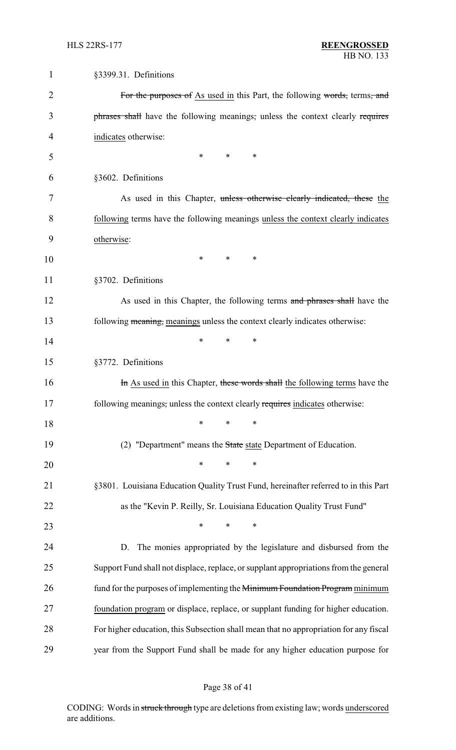| $\mathbf 1$ | §3399.31. Definitions                                                                 |
|-------------|---------------------------------------------------------------------------------------|
| 2           | For the purposes of As used in this Part, the following words, terms, and             |
| 3           | phrases shall have the following meanings, unless the context clearly requires        |
| 4           | indicates otherwise:                                                                  |
| 5           | $\ast$<br>∗<br>∗                                                                      |
| 6           | §3602. Definitions                                                                    |
| 7           | As used in this Chapter, unless otherwise clearly indicated, these the                |
| 8           | following terms have the following meanings unless the context clearly indicates      |
| 9           | otherwise:                                                                            |
| 10          | $\ast$<br>∗<br>∗                                                                      |
| 11          | §3702. Definitions                                                                    |
| 12          | As used in this Chapter, the following terms and phrases shall have the               |
| 13          | following meaning, meanings unless the context clearly indicates otherwise:           |
| 14          | $\ast$<br>*<br>∗                                                                      |
| 15          | §3772. Definitions                                                                    |
| 16          | In As used in this Chapter, these words shall the following terms have the            |
| 17          | following meanings, unless the context clearly requires indicates otherwise:          |
| 18          | $\ast$<br>$\ast$<br>∗                                                                 |
| 19          | (2) "Department" means the State state Department of Education.                       |
| 20          | $\ast$<br>*<br>∗                                                                      |
| 21          | §3801. Louisiana Education Quality Trust Fund, hereinafter referred to in this Part   |
| 22          | as the "Kevin P. Reilly, Sr. Louisiana Education Quality Trust Fund"                  |
| 23          | $\ast$<br>$\ast$<br>∗                                                                 |
| 24          | The monies appropriated by the legislature and disbursed from the<br>D.               |
| 25          | Support Fund shall not displace, replace, or supplant appropriations from the general |
| 26          | fund for the purposes of implementing the Minimum Foundation Program minimum          |
| 27          | foundation program or displace, replace, or supplant funding for higher education.    |
| 28          | For higher education, this Subsection shall mean that no appropriation for any fiscal |
| 29          | year from the Support Fund shall be made for any higher education purpose for         |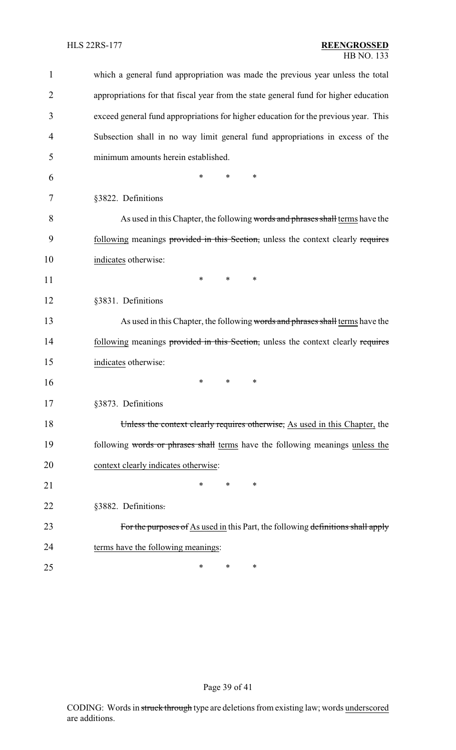| $\mathbf{1}$   | which a general fund appropriation was made the previous year unless the total       |
|----------------|--------------------------------------------------------------------------------------|
| $\overline{2}$ | appropriations for that fiscal year from the state general fund for higher education |
| 3              | exceed general fund appropriations for higher education for the previous year. This  |
| 4              | Subsection shall in no way limit general fund appropriations in excess of the        |
| 5              | minimum amounts herein established.                                                  |
| 6              | ∗<br>*<br>*                                                                          |
| 7              | §3822. Definitions                                                                   |
| 8              | As used in this Chapter, the following words and phrases shall terms have the        |
| 9              | following meanings provided in this Section, unless the context clearly requires     |
| 10             | indicates otherwise:                                                                 |
| 11             | ∗<br>∗<br>∗                                                                          |
| 12             | §3831. Definitions                                                                   |
| 13             | As used in this Chapter, the following words and phrases shall terms have the        |
| 14             | following meanings provided in this Section, unless the context clearly requires     |
| 15             | indicates otherwise:                                                                 |
| 16             | ∗<br>∗<br>∗                                                                          |
| 17             | §3873. Definitions                                                                   |
| 18             | Unless the context clearly requires otherwise, As used in this Chapter, the          |
| 19             | following words or phrases shall terms have the following meanings unless the        |
| 20             | context clearly indicates otherwise:                                                 |
| 21             | *<br>*<br>∗                                                                          |
| 22             | §3882. Definitions.                                                                  |
| 23             | For the purposes of As used in this Part, the following definitions shall apply      |
| 24             | terms have the following meanings:                                                   |
| 25             | ∗<br>∗<br>∗                                                                          |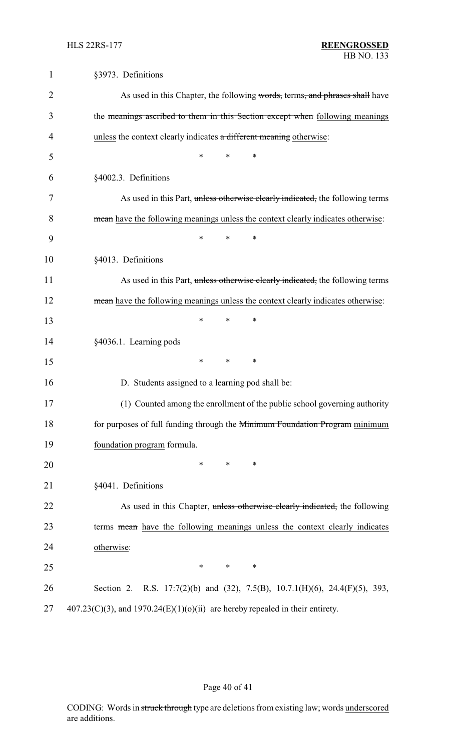| $\mathbf{1}$ | §3973. Definitions                                                                     |
|--------------|----------------------------------------------------------------------------------------|
| 2            | As used in this Chapter, the following words, terms, and phrases shall have            |
| 3            | the meanings ascribed to them in this Section except when following meanings           |
| 4            | unless the context clearly indicates a different meaning otherwise:                    |
| 5            | *<br>*<br>*                                                                            |
| 6            | §4002.3. Definitions                                                                   |
| 7            | As used in this Part, unless otherwise clearly indicated, the following terms          |
| 8            | mean have the following meanings unless the context clearly indicates otherwise:       |
| 9            | *<br>*<br>∗                                                                            |
| 10           | §4013. Definitions                                                                     |
| 11           | As used in this Part, unless otherwise clearly indicated, the following terms          |
| 12           | mean have the following meanings unless the context clearly indicates otherwise:       |
| 13           | $\ast$<br>∗<br>*                                                                       |
| 14           | §4036.1. Learning pods                                                                 |
| 15           | *<br>*<br>∗                                                                            |
| 16           | D. Students assigned to a learning pod shall be:                                       |
| 17           | (1) Counted among the enrollment of the public school governing authority              |
| 18           | for purposes of full funding through the <del>Minimum Foundation Program</del> minimum |
| 19           | foundation program formula.                                                            |
| 20           | $\ast$<br>∗<br>$\ast$                                                                  |
| 21           | §4041. Definitions                                                                     |
| 22           | As used in this Chapter, unless otherwise clearly indicated, the following             |
| 23           | terms mean have the following meanings unless the context clearly indicates            |
| 24           | otherwise:                                                                             |
| 25           | $\ast$<br>*<br>*                                                                       |
| 26           | Section 2. R.S. 17:7(2)(b) and (32), 7.5(B), 10.7.1(H)(6), 24.4(F)(5), 393,            |
| 27           | $407.23(C)(3)$ , and $1970.24(E)(1)(0)(ii)$ are hereby repealed in their entirety.     |

# Page 40 of 41